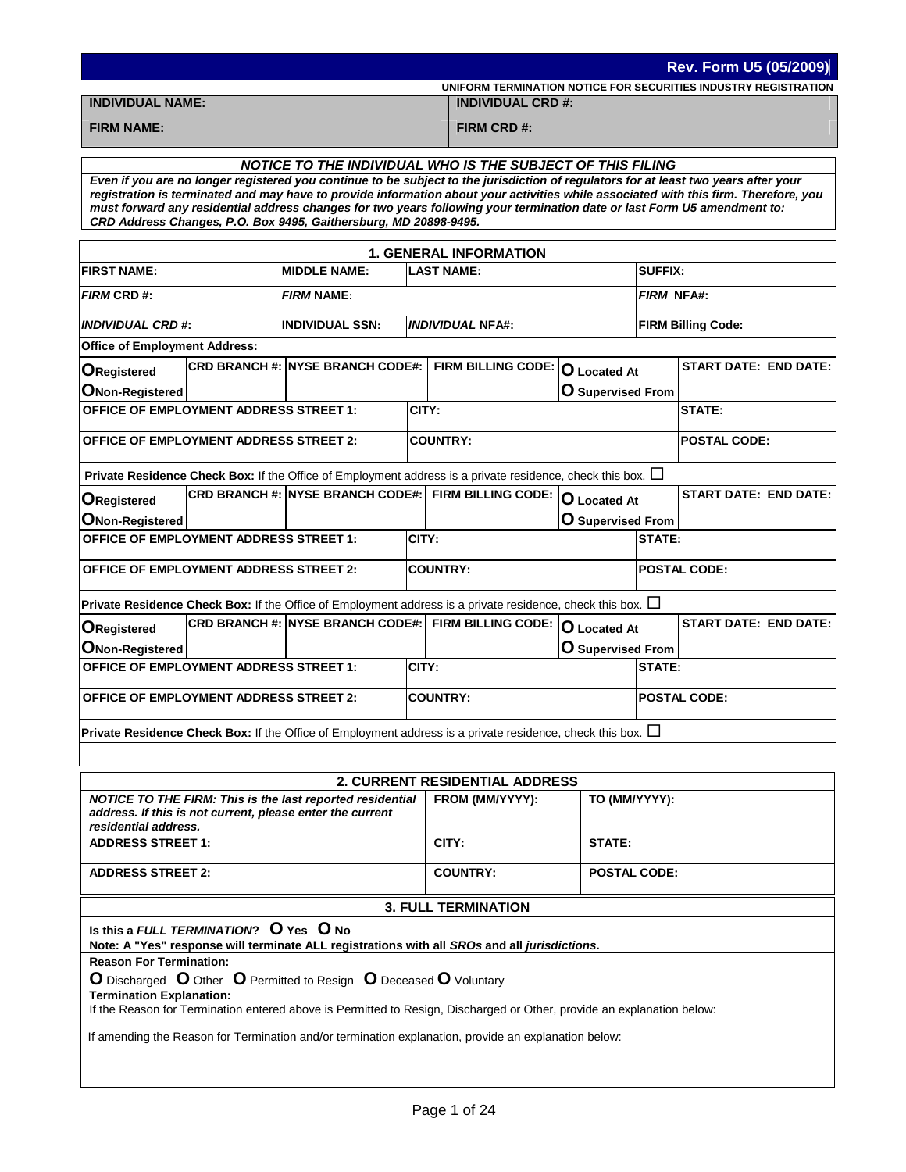|                                                                                                                                                                                                                                                                                                                                                                                                                                                                             |                                                            |                 |                                 |                                                 |                | Rev. Form U5 (05/2009)       |  |  |  |  |
|-----------------------------------------------------------------------------------------------------------------------------------------------------------------------------------------------------------------------------------------------------------------------------------------------------------------------------------------------------------------------------------------------------------------------------------------------------------------------------|------------------------------------------------------------|-----------------|---------------------------------|-------------------------------------------------|----------------|------------------------------|--|--|--|--|
| UNIFORM TERMINATION NOTICE FOR SECURITIES INDUSTRY REGISTRATION<br><b>INDIVIDUAL NAME:</b><br><b>INDIVIDUAL CRD #:</b>                                                                                                                                                                                                                                                                                                                                                      |                                                            |                 |                                 |                                                 |                |                              |  |  |  |  |
| <b>FIRM NAME:</b>                                                                                                                                                                                                                                                                                                                                                                                                                                                           |                                                            |                 | FIRM CRD #:                     |                                                 |                |                              |  |  |  |  |
|                                                                                                                                                                                                                                                                                                                                                                                                                                                                             |                                                            |                 |                                 |                                                 |                |                              |  |  |  |  |
|                                                                                                                                                                                                                                                                                                                                                                                                                                                                             | NOTICE TO THE INDIVIDUAL WHO IS THE SUBJECT OF THIS FILING |                 |                                 |                                                 |                |                              |  |  |  |  |
| Even if you are no longer registered you continue to be subject to the jurisdiction of regulators for at least two years after your<br>registration is terminated and may have to provide information about your activities while associated with this firm. Therefore, you<br>must forward any residential address changes for two years following your termination date or last Form U5 amendment to:<br>CRD Address Changes, P.O. Box 9495, Gaithersburg, MD 20898-9495. |                                                            |                 |                                 |                                                 |                |                              |  |  |  |  |
|                                                                                                                                                                                                                                                                                                                                                                                                                                                                             |                                                            |                 | <b>1. GENERAL INFORMATION</b>   |                                                 |                |                              |  |  |  |  |
| <b>FIRST NAME:</b>                                                                                                                                                                                                                                                                                                                                                                                                                                                          | <b>MIDDLE NAME:</b>                                        |                 | <b>LAST NAME:</b>               |                                                 | <b>SUFFIX:</b> |                              |  |  |  |  |
| <b>FIRM CRD#:</b>                                                                                                                                                                                                                                                                                                                                                                                                                                                           | <b>FIRM NAME:</b>                                          |                 |                                 |                                                 | FIRM NFA#:     |                              |  |  |  |  |
| <b>INDIVIDUAL CRD #:</b>                                                                                                                                                                                                                                                                                                                                                                                                                                                    | <b>INDIVIDUAL SSN:</b>                                     |                 | <b>INDIVIDUAL NFA#:</b>         |                                                 |                | <b>FIRM Billing Code:</b>    |  |  |  |  |
| <b>Office of Employment Address:</b>                                                                                                                                                                                                                                                                                                                                                                                                                                        |                                                            |                 |                                 |                                                 |                |                              |  |  |  |  |
| <b>O</b> Registered                                                                                                                                                                                                                                                                                                                                                                                                                                                         | <b>CRD BRANCH #: INYSE BRANCH CODE#:</b>                   |                 | FIRM BILLING CODE: O Located At |                                                 |                | <b>START DATE: END DATE:</b> |  |  |  |  |
| <b>ONon-Registered</b>                                                                                                                                                                                                                                                                                                                                                                                                                                                      |                                                            |                 |                                 | O Supervised From                               |                |                              |  |  |  |  |
| <b>OFFICE OF EMPLOYMENT ADDRESS STREET 1:</b>                                                                                                                                                                                                                                                                                                                                                                                                                               |                                                            | CITY:           |                                 |                                                 |                | <b>STATE:</b>                |  |  |  |  |
| <b>OFFICE OF EMPLOYMENT ADDRESS STREET 2:</b>                                                                                                                                                                                                                                                                                                                                                                                                                               |                                                            | <b>COUNTRY:</b> |                                 |                                                 |                | <b>POSTAL CODE:</b>          |  |  |  |  |
| <b>Private Residence Check Box:</b> If the Office of Employment address is a private residence, check this box. $\Box$                                                                                                                                                                                                                                                                                                                                                      |                                                            |                 |                                 |                                                 |                |                              |  |  |  |  |
| <b>ORegistered</b>                                                                                                                                                                                                                                                                                                                                                                                                                                                          | CRD BRANCH #: NYSE BRANCH CODE#: FIRM BILLING CODE:        |                 |                                 |                                                 |                | <b>START DATE: END DATE:</b> |  |  |  |  |
| <b>ONon-Registered</b><br><b>OFFICE OF EMPLOYMENT ADDRESS STREET 1:</b>                                                                                                                                                                                                                                                                                                                                                                                                     |                                                            | CITY:           |                                 | <b>O</b> Supervised From                        |                | STATE:                       |  |  |  |  |
|                                                                                                                                                                                                                                                                                                                                                                                                                                                                             |                                                            |                 |                                 |                                                 |                |                              |  |  |  |  |
| <b>OFFICE OF EMPLOYMENT ADDRESS STREET 2:</b>                                                                                                                                                                                                                                                                                                                                                                                                                               |                                                            | <b>COUNTRY:</b> |                                 |                                                 |                | <b>POSTAL CODE:</b>          |  |  |  |  |
| Private Residence Check Box: If the Office of Employment address is a private residence, check this box. $\Box$                                                                                                                                                                                                                                                                                                                                                             |                                                            |                 |                                 |                                                 |                |                              |  |  |  |  |
| <b>ORegistered</b><br><b>ONon-Registered</b>                                                                                                                                                                                                                                                                                                                                                                                                                                | CRD BRANCH #: NYSE BRANCH CODE#: FIRM BILLING CODE:        |                 |                                 | <b>O</b> Located At<br><b>O</b> Supervised From |                | <b>START DATE: END DATE:</b> |  |  |  |  |
| <b>OFFICE OF EMPLOYMENT ADDRESS STREET 1:</b>                                                                                                                                                                                                                                                                                                                                                                                                                               |                                                            | CITY:           |                                 |                                                 | STATE:         |                              |  |  |  |  |
| <b>OFFICE OF EMPLOYMENT ADDRESS STREET 2:</b>                                                                                                                                                                                                                                                                                                                                                                                                                               |                                                            | <b>COUNTRY:</b> | <b>POSTAL CODE:</b>             |                                                 |                |                              |  |  |  |  |
| Private Residence Check Box: If the Office of Employment address is a private residence, check this box. $\Box$                                                                                                                                                                                                                                                                                                                                                             |                                                            |                 |                                 |                                                 |                |                              |  |  |  |  |
|                                                                                                                                                                                                                                                                                                                                                                                                                                                                             |                                                            |                 |                                 |                                                 |                |                              |  |  |  |  |
|                                                                                                                                                                                                                                                                                                                                                                                                                                                                             |                                                            |                 | 2. CURRENT RESIDENTIAL ADDRESS  |                                                 |                |                              |  |  |  |  |
| NOTICE TO THE FIRM: This is the last reported residential<br>address. If this is not current, please enter the current<br>residential address.                                                                                                                                                                                                                                                                                                                              |                                                            |                 | FROM (MM/YYYY):                 | TO (MM/YYYY):                                   |                |                              |  |  |  |  |
| <b>ADDRESS STREET 1:</b>                                                                                                                                                                                                                                                                                                                                                                                                                                                    |                                                            |                 | CITY:                           | STATE:                                          |                |                              |  |  |  |  |
| <b>ADDRESS STREET 2:</b>                                                                                                                                                                                                                                                                                                                                                                                                                                                    |                                                            | <b>COUNTRY:</b> | <b>POSTAL CODE:</b>             |                                                 |                |                              |  |  |  |  |
|                                                                                                                                                                                                                                                                                                                                                                                                                                                                             |                                                            |                 | <b>3. FULL TERMINATION</b>      |                                                 |                |                              |  |  |  |  |
| Is this a FULL TERMINATION? O Yes O No<br>Note: A "Yes" response will terminate ALL registrations with all SROs and all jurisdictions.                                                                                                                                                                                                                                                                                                                                      |                                                            |                 |                                 |                                                 |                |                              |  |  |  |  |
| <b>Reason For Termination:</b>                                                                                                                                                                                                                                                                                                                                                                                                                                              |                                                            |                 |                                 |                                                 |                |                              |  |  |  |  |
| O Discharged O Other O Permitted to Resign O Deceased O Voluntary<br><b>Termination Explanation:</b><br>If the Reason for Termination entered above is Permitted to Resign, Discharged or Other, provide an explanation below:                                                                                                                                                                                                                                              |                                                            |                 |                                 |                                                 |                |                              |  |  |  |  |
| If amending the Reason for Termination and/or termination explanation, provide an explanation below:                                                                                                                                                                                                                                                                                                                                                                        |                                                            |                 |                                 |                                                 |                |                              |  |  |  |  |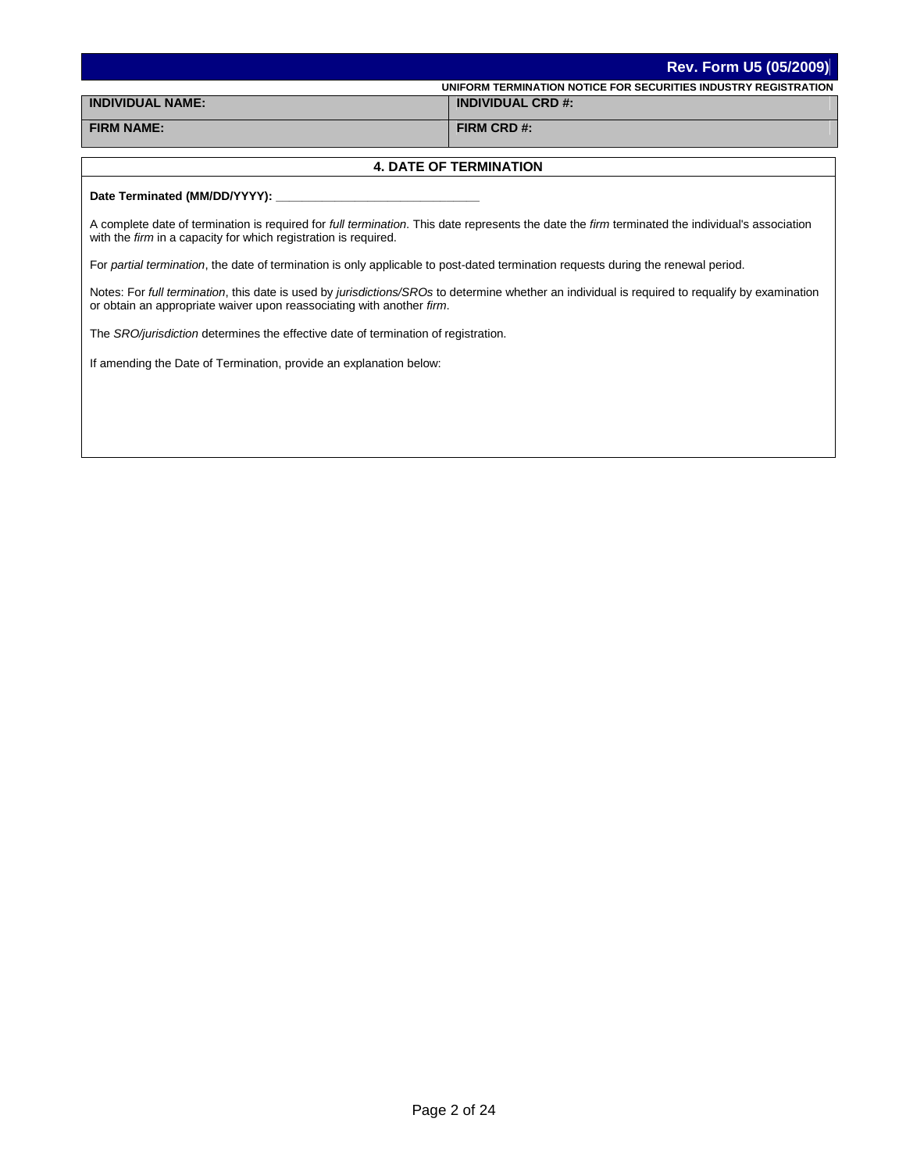|                         | Rev. Form U5 (05/2009)                                          |
|-------------------------|-----------------------------------------------------------------|
|                         | UNIFORM TERMINATION NOTICE FOR SECURITIES INDUSTRY REGISTRATION |
| <b>INDIVIDUAL NAME:</b> | <b>INDIVIDUAL CRD #:</b>                                        |
| <b>FIRM NAME:</b>       | FIRM CRD#:                                                      |

### **4. DATE OF TERMINATION**

## Date Terminated (MM/DD/YYYY):

A complete date of termination is required for *full termination*. This date represents the date the *firm* terminated the individual's association with the *firm* in a capacity for which registration is required.

For *partial termination*, the date of termination is only applicable to post-dated termination requests during the renewal period.

Notes: For *full termination*, this date is used by *jurisdictions/SROs* to determine whether an individual is required to requalify by examination or obtain an appropriate waiver upon reassociating with another *firm*.

The *SRO/jurisdiction* determines the effective date of termination of registration.

If amending the Date of Termination, provide an explanation below: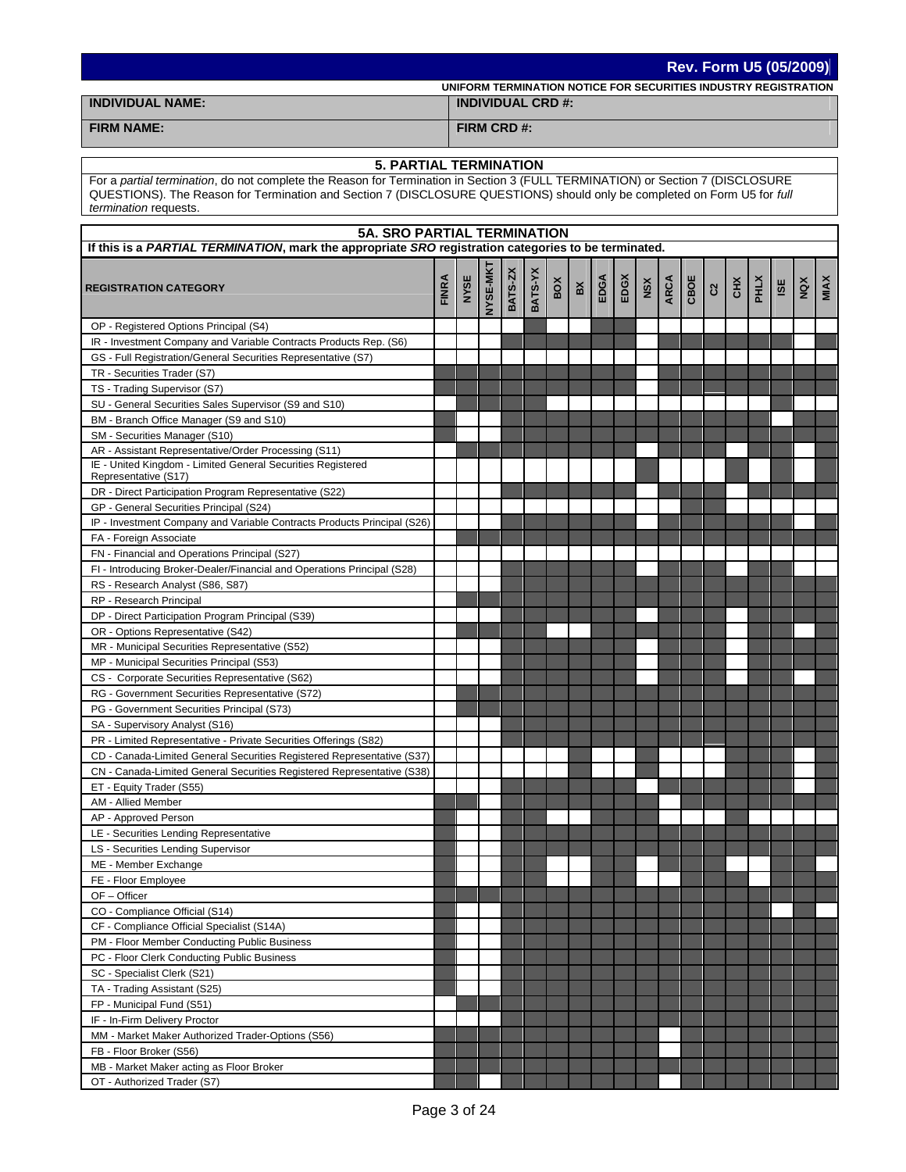|                         | Rev. Form U5 (05/2009)                                          |
|-------------------------|-----------------------------------------------------------------|
|                         | UNIFORM TERMINATION NOTICE FOR SECURITIES INDUSTRY REGISTRATION |
| <b>INDIVIDUAL NAME:</b> | <b>INDIVIDUAL CRD #:</b>                                        |
| <b>FIRM NAME:</b>       | FIRM CRD#:                                                      |

## **5. PARTIAL TERMINATION**

For a *partial termination*, do not complete the Reason for Termination in Section 3 (FULL TERMINATION) or Section 7 (DISCLOSURE QUESTIONS). The Reason for Termination and Section 7 (DISCLOSURE QUESTIONS) should only be completed on Form U5 for *full termination* requests.

|                                                                                     | <b>5A. SRO PARTIAL TERMINATION</b><br>If this is a PARTIAL TERMINATION, mark the appropriate SRO registration categories to be terminated. |      |          |         |         |     |    |      |      |     |      |      |                           |     |      |     |     |      |
|-------------------------------------------------------------------------------------|--------------------------------------------------------------------------------------------------------------------------------------------|------|----------|---------|---------|-----|----|------|------|-----|------|------|---------------------------|-----|------|-----|-----|------|
| <b>REGISTRATION CATEGORY</b>                                                        | <b>FINRA</b>                                                                                                                               | NYSE | NYSE-MKT | BATS-ZX | BATS-YX | BOX | ВX | EDGA | EDGX | NSX | ARCA | CBOE | $\mathbf{c}^{\mathbf{z}}$ | CHX | PHLX | ISE | NQX | MIAX |
| OP - Registered Options Principal (S4)                                              |                                                                                                                                            |      |          |         |         |     |    |      |      |     |      |      |                           |     |      |     |     |      |
| IR - Investment Company and Variable Contracts Products Rep. (S6)                   |                                                                                                                                            |      |          |         |         |     |    |      |      |     |      |      |                           |     |      |     |     |      |
| GS - Full Registration/General Securities Representative (S7)                       |                                                                                                                                            |      |          |         |         |     |    |      |      |     |      |      |                           |     |      |     |     |      |
| TR - Securities Trader (S7)                                                         |                                                                                                                                            |      |          |         |         |     |    |      |      |     |      |      |                           |     |      |     |     |      |
| TS - Trading Supervisor (S7)                                                        |                                                                                                                                            |      |          |         |         |     |    |      |      |     |      |      |                           |     |      |     |     |      |
| SU - General Securities Sales Supervisor (S9 and S10)                               |                                                                                                                                            |      |          |         |         |     |    |      |      |     |      |      |                           |     |      |     |     |      |
| BM - Branch Office Manager (S9 and S10)                                             |                                                                                                                                            |      |          |         |         |     |    |      |      |     |      |      |                           |     |      |     |     |      |
| SM - Securities Manager (S10)                                                       |                                                                                                                                            |      |          |         |         |     |    |      |      |     |      |      |                           |     |      |     |     |      |
| AR - Assistant Representative/Order Processing (S11)                                |                                                                                                                                            |      |          |         |         |     |    |      |      |     |      |      |                           |     |      |     |     |      |
| IE - United Kingdom - Limited General Securities Registered<br>Representative (S17) |                                                                                                                                            |      |          |         |         |     |    |      |      |     |      |      |                           |     |      |     |     |      |
| DR - Direct Participation Program Representative (S22)                              |                                                                                                                                            |      |          |         |         |     |    |      |      |     |      |      |                           |     |      |     |     |      |
| GP - General Securities Principal (S24)                                             |                                                                                                                                            |      |          |         |         |     |    |      |      |     |      |      |                           |     |      |     |     |      |
| IP - Investment Company and Variable Contracts Products Principal (S26)             |                                                                                                                                            |      |          |         |         |     |    |      |      |     |      |      |                           |     |      |     |     |      |
| FA - Foreign Associate                                                              |                                                                                                                                            |      |          |         |         |     |    |      |      |     |      |      |                           |     |      |     |     |      |
| FN - Financial and Operations Principal (S27)                                       |                                                                                                                                            |      |          |         |         |     |    |      |      |     |      |      |                           |     |      |     |     |      |
| FI - Introducing Broker-Dealer/Financial and Operations Principal (S28)             |                                                                                                                                            |      |          |         |         |     |    |      |      |     |      |      |                           |     |      |     |     |      |
| RS - Research Analyst (S86, S87)                                                    |                                                                                                                                            |      |          |         |         |     |    |      |      |     |      |      |                           |     |      |     |     |      |
| RP - Research Principal                                                             |                                                                                                                                            |      |          |         |         |     |    |      |      |     |      |      |                           |     |      |     |     |      |
| DP - Direct Participation Program Principal (S39)                                   |                                                                                                                                            |      |          |         |         |     |    |      |      |     |      |      |                           |     |      |     |     |      |
| OR - Options Representative (S42)                                                   |                                                                                                                                            |      |          |         |         |     |    |      |      |     |      |      |                           |     |      |     |     |      |
| MR - Municipal Securities Representative (S52)                                      |                                                                                                                                            |      |          |         |         |     |    |      |      |     |      |      |                           |     |      |     |     |      |
| MP - Municipal Securities Principal (S53)                                           |                                                                                                                                            |      |          |         |         |     |    |      |      |     |      |      |                           |     |      |     |     |      |
| CS - Corporate Securities Representative (S62)                                      |                                                                                                                                            |      |          |         |         |     |    |      |      |     |      |      |                           |     |      |     |     |      |
| RG - Government Securities Representative (S72)                                     |                                                                                                                                            |      |          |         |         |     |    |      |      |     |      |      |                           |     |      |     |     |      |
| PG - Government Securities Principal (S73)                                          |                                                                                                                                            |      |          |         |         |     |    |      |      |     |      |      |                           |     |      |     |     |      |
| SA - Supervisory Analyst (S16)                                                      |                                                                                                                                            |      |          |         |         |     |    |      |      |     |      |      |                           |     |      |     |     |      |
| PR - Limited Representative - Private Securities Offerings (S82)                    |                                                                                                                                            |      |          |         |         |     |    |      |      |     |      |      |                           |     |      |     |     |      |
| CD - Canada-Limited General Securities Registered Representative (S37)              |                                                                                                                                            |      |          |         |         |     |    |      |      |     |      |      |                           |     |      |     |     |      |
| CN - Canada-Limited General Securities Registered Representative (S38)              |                                                                                                                                            |      |          |         |         |     |    |      |      |     |      |      |                           |     |      |     |     |      |
| ET - Equity Trader (S55)                                                            |                                                                                                                                            |      |          |         |         |     |    |      |      |     |      |      |                           |     |      |     |     |      |
| AM - Allied Member                                                                  |                                                                                                                                            |      |          |         |         |     |    |      |      |     |      |      |                           |     |      |     |     |      |
| AP - Approved Person                                                                |                                                                                                                                            |      |          |         |         |     |    |      |      |     |      |      |                           |     |      |     |     |      |
| LE - Securities Lending Representative                                              |                                                                                                                                            |      |          |         |         |     |    |      |      |     |      |      |                           |     |      |     |     |      |
| LS - Securities Lending Supervisor                                                  |                                                                                                                                            |      |          |         |         |     |    |      |      |     |      |      |                           |     |      |     |     |      |
| ME - Member Exchange                                                                |                                                                                                                                            |      |          |         |         |     |    |      |      |     |      |      |                           |     |      |     |     |      |
| FE - Floor Employee                                                                 |                                                                                                                                            |      |          |         |         |     |    |      |      |     |      |      |                           |     |      |     |     |      |
| OF-Officer                                                                          |                                                                                                                                            |      |          |         |         |     |    |      |      |     |      |      |                           |     |      |     |     |      |
| CO - Compliance Official (S14)                                                      |                                                                                                                                            |      |          |         |         |     |    |      |      |     |      |      |                           |     |      |     |     |      |
| CF - Compliance Official Specialist (S14A)                                          |                                                                                                                                            |      |          |         |         |     |    |      |      |     |      |      |                           |     |      |     |     |      |
| PM - Floor Member Conducting Public Business                                        |                                                                                                                                            |      |          |         |         |     |    |      |      |     |      |      |                           |     |      |     |     |      |
| PC - Floor Clerk Conducting Public Business                                         |                                                                                                                                            |      |          |         |         |     |    |      |      |     |      |      |                           |     |      |     |     |      |
| SC - Specialist Clerk (S21)                                                         |                                                                                                                                            |      |          |         |         |     |    |      |      |     |      |      |                           |     |      |     |     |      |
| TA - Trading Assistant (S25)                                                        |                                                                                                                                            |      |          |         |         |     |    |      |      |     |      |      |                           |     |      |     |     |      |
| FP - Municipal Fund (S51)                                                           |                                                                                                                                            |      |          |         |         |     |    |      |      |     |      |      |                           |     |      |     |     |      |
| IF - In-Firm Delivery Proctor                                                       |                                                                                                                                            |      |          |         |         |     |    |      |      |     |      |      |                           |     |      |     |     |      |
|                                                                                     |                                                                                                                                            |      |          |         |         |     |    |      |      |     |      |      |                           |     |      |     |     |      |
| MM - Market Maker Authorized Trader-Options (S56)<br>FB - Floor Broker (S56)        |                                                                                                                                            |      |          |         |         |     |    |      |      |     |      |      |                           |     |      |     |     |      |
| MB - Market Maker acting as Floor Broker                                            |                                                                                                                                            |      |          |         |         |     |    |      |      |     |      |      |                           |     |      |     |     |      |
| OT - Authorized Trader (S7)                                                         |                                                                                                                                            |      |          |         |         |     |    |      |      |     |      |      |                           |     |      |     |     |      |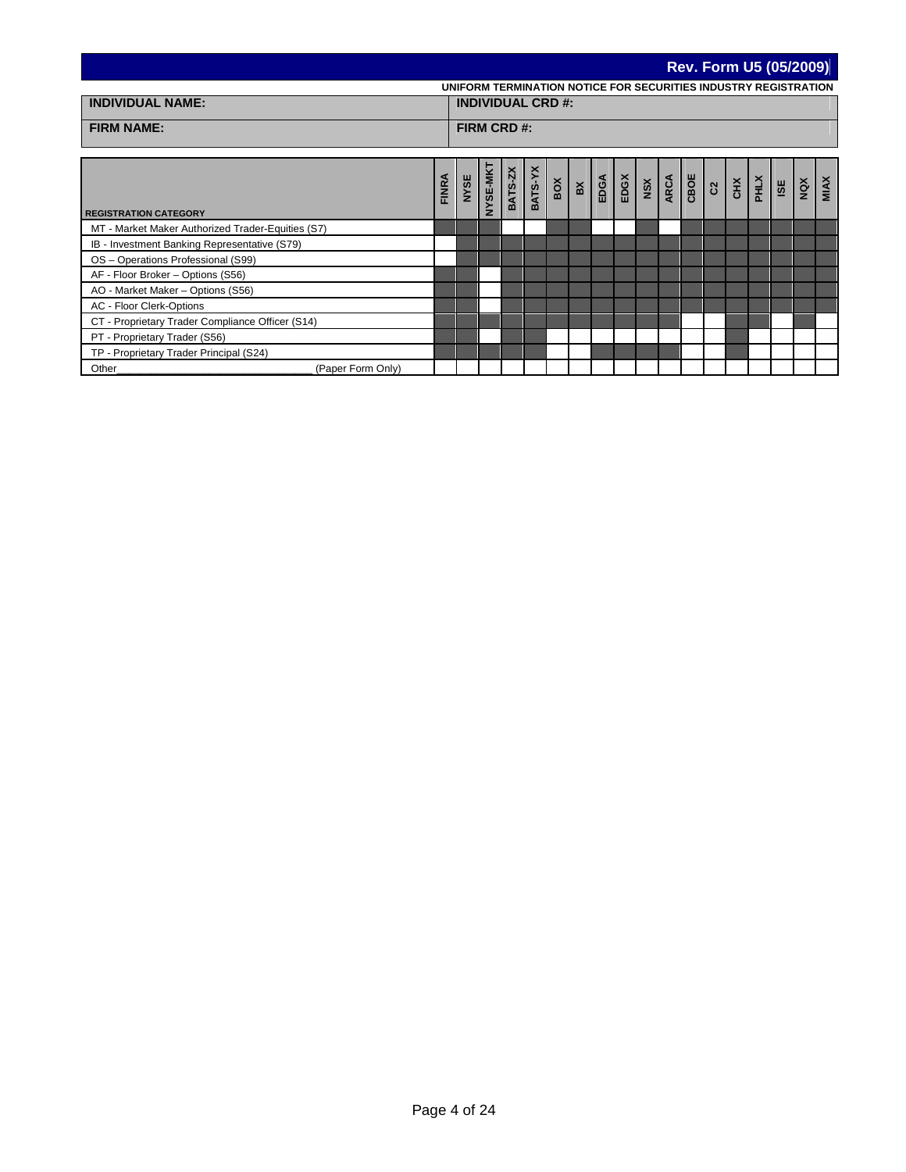|                                                   |              |      |             |                    |                          |                                                                 |  |                                                                                                                           |  |                |               | <b>Rev. Form U5 (05/2009)</b> |     |     |             |
|---------------------------------------------------|--------------|------|-------------|--------------------|--------------------------|-----------------------------------------------------------------|--|---------------------------------------------------------------------------------------------------------------------------|--|----------------|---------------|-------------------------------|-----|-----|-------------|
|                                                   |              |      |             |                    |                          | UNIFORM TERMINATION NOTICE FOR SECURITIES INDUSTRY REGISTRATION |  |                                                                                                                           |  |                |               |                               |     |     |             |
| <b>INDIVIDUAL NAME:</b>                           |              |      |             |                    | <b>INDIVIDUAL CRD #:</b> |                                                                 |  |                                                                                                                           |  |                |               |                               |     |     |             |
| <b>FIRM NAME:</b>                                 |              |      | FIRM CRD #: |                    |                          |                                                                 |  |                                                                                                                           |  |                |               |                               |     |     |             |
|                                                   |              |      |             |                    |                          |                                                                 |  |                                                                                                                           |  |                |               |                               |     |     |             |
|                                                   |              |      |             |                    |                          |                                                                 |  |                                                                                                                           |  |                |               |                               |     |     |             |
|                                                   |              |      | NYSE-MKT    |                    |                          |                                                                 |  |                                                                                                                           |  |                |               |                               |     |     |             |
|                                                   | <b>FINRA</b> | NYSE |             | BATS-ZX<br>BATS-YX |                          | $\frac{3}{9}$ $\frac{1}{9}$                                     |  | $\begin{array}{c c}\n\text{EDA} \\ \hline\n\text{EDA} \\ \hline\n\text{MRA} \\ \hline\n\text{ARA} \\ \hline\n\end{array}$ |  | $rac{BC}{c^2}$ | $\frac{1}{2}$ |                               | ISE | NQX | <b>MIAX</b> |
|                                                   |              |      |             |                    |                          |                                                                 |  |                                                                                                                           |  |                |               |                               |     |     |             |
| <b>REGISTRATION CATEGORY</b>                      |              |      |             |                    |                          |                                                                 |  |                                                                                                                           |  |                |               |                               |     |     |             |
| MT - Market Maker Authorized Trader-Equities (S7) |              |      |             |                    |                          |                                                                 |  |                                                                                                                           |  |                |               |                               |     |     |             |
| IB - Investment Banking Representative (S79)      |              |      |             |                    |                          |                                                                 |  |                                                                                                                           |  |                |               |                               |     |     |             |
| OS - Operations Professional (S99)                |              |      |             |                    |                          |                                                                 |  |                                                                                                                           |  |                |               |                               |     |     |             |
| AF - Floor Broker - Options (S56)                 |              |      |             |                    |                          |                                                                 |  |                                                                                                                           |  |                |               |                               |     |     |             |
| AO - Market Maker - Options (S56)                 |              |      |             |                    |                          |                                                                 |  |                                                                                                                           |  |                |               |                               |     |     |             |
| AC - Floor Clerk-Options                          |              |      |             |                    |                          |                                                                 |  |                                                                                                                           |  |                |               |                               |     |     |             |
| CT - Proprietary Trader Compliance Officer (S14)  |              |      |             |                    |                          |                                                                 |  |                                                                                                                           |  |                |               |                               |     |     |             |
| PT - Proprietary Trader (S56)                     |              |      |             |                    |                          |                                                                 |  |                                                                                                                           |  |                |               |                               |     |     |             |
| TP - Proprietary Trader Principal (S24)           |              |      |             |                    |                          |                                                                 |  |                                                                                                                           |  |                |               |                               |     |     |             |
| (Paper Form Only)<br>Other                        |              |      |             |                    |                          |                                                                 |  |                                                                                                                           |  |                |               |                               |     |     |             |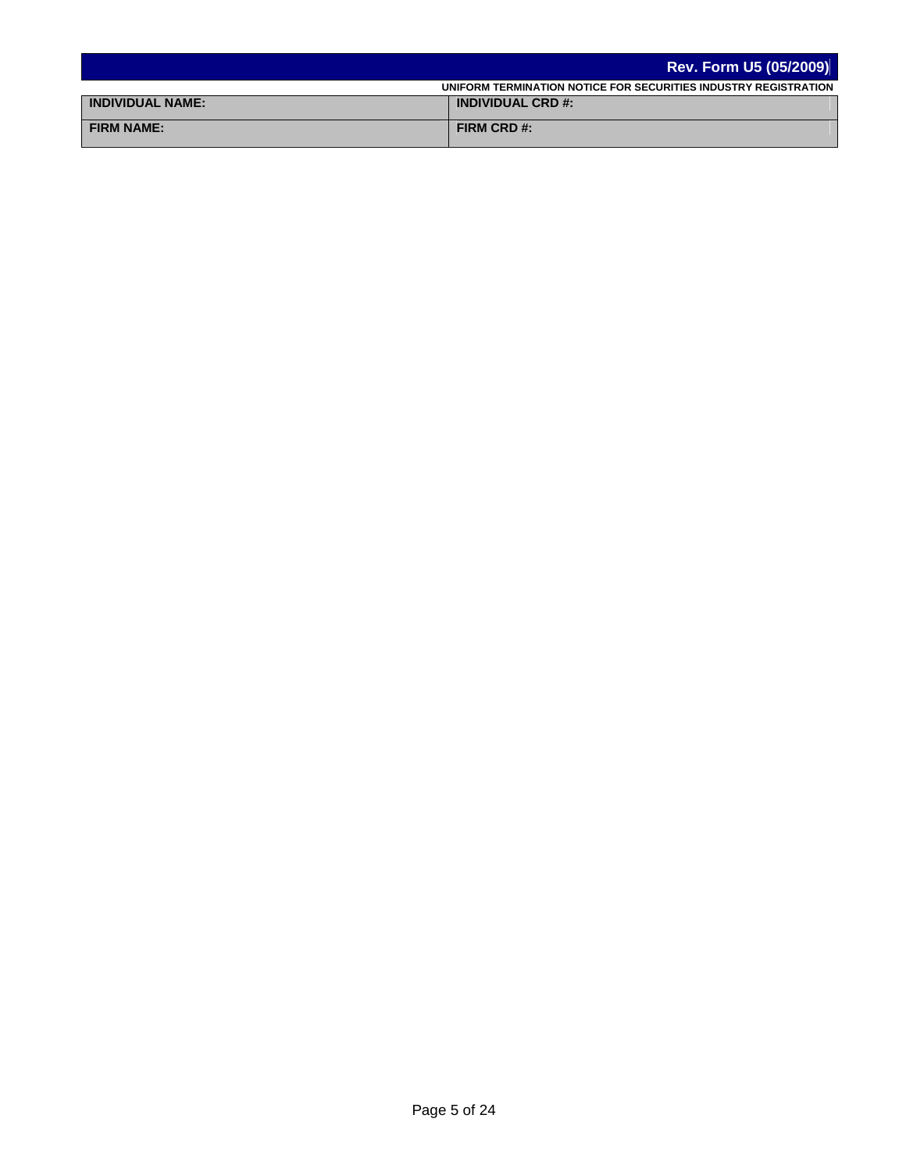|                         | <b>Rev. Form U5 (05/2009)</b>                                   |
|-------------------------|-----------------------------------------------------------------|
|                         | UNIFORM TERMINATION NOTICE FOR SECURITIES INDUSTRY REGISTRATION |
| <b>INDIVIDUAL NAME:</b> | <b>INDIVIDUAL CRD #:</b>                                        |
| <b>FIRM NAME:</b>       | FIRM CRD #:                                                     |
|                         |                                                                 |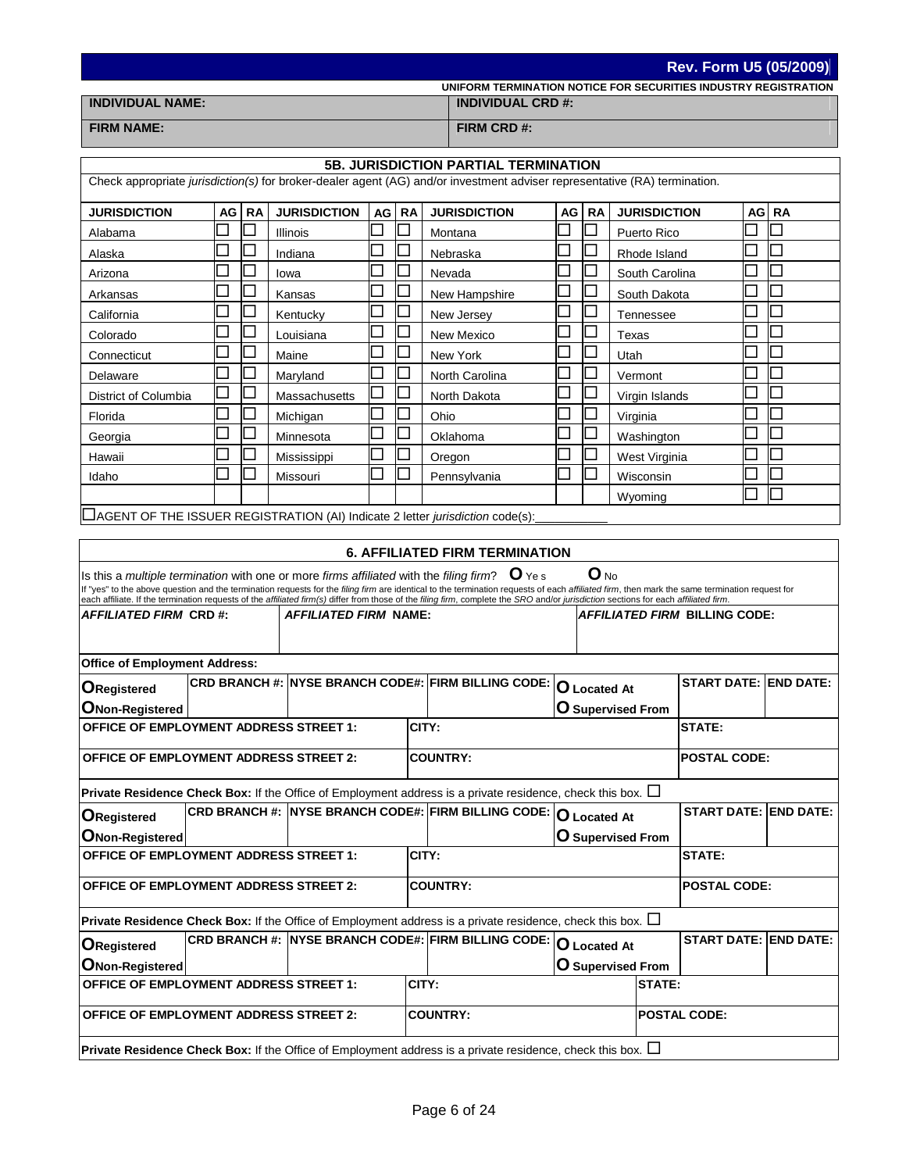**Rev. Form U5 (05/2009)**

| UNIFORM TERMINATION NOTICE FOR SECURITIES INDUSTRY REGISTRATION |  |
|-----------------------------------------------------------------|--|
|                                                                 |  |

**INDIVIDUAL NAME: INDIVIDUAL CRD #:**

**FIRM NAME: FIRM CRD #:**

| <b>5B. JURISDICTION PARTIAL TERMINATION</b>                                                                                                                                                                                                                                                                                                                                                                                                                                                                  |                                                                                         |    |                              |    |           |                                                                                                                        |    |                             |                             |                                       |  |                       |
|--------------------------------------------------------------------------------------------------------------------------------------------------------------------------------------------------------------------------------------------------------------------------------------------------------------------------------------------------------------------------------------------------------------------------------------------------------------------------------------------------------------|-----------------------------------------------------------------------------------------|----|------------------------------|----|-----------|------------------------------------------------------------------------------------------------------------------------|----|-----------------------------|-----------------------------|---------------------------------------|--|-----------------------|
| Check appropriate jurisdiction(s) for broker-dealer agent (AG) and/or investment adviser representative (RA) termination.                                                                                                                                                                                                                                                                                                                                                                                    |                                                                                         |    |                              |    |           |                                                                                                                        |    |                             |                             |                                       |  |                       |
| <b>JURISDICTION</b>                                                                                                                                                                                                                                                                                                                                                                                                                                                                                          | AG                                                                                      | RA | <b>JURISDICTION</b>          | AG | <b>RA</b> | <b>JURISDICTION</b>                                                                                                    | AG | <b>RA</b>                   | <b>JURISDICTION</b>         |                                       |  | AG RA                 |
| Alabama                                                                                                                                                                                                                                                                                                                                                                                                                                                                                                      |                                                                                         |    | Illinois                     |    |           | Montana                                                                                                                |    |                             | Puerto Rico                 |                                       |  |                       |
| Alaska                                                                                                                                                                                                                                                                                                                                                                                                                                                                                                       |                                                                                         |    | Indiana                      |    |           | Nebraska                                                                                                               |    |                             | Rhode Island                |                                       |  |                       |
| Arizona                                                                                                                                                                                                                                                                                                                                                                                                                                                                                                      |                                                                                         |    | Iowa                         |    |           | Nevada                                                                                                                 |    |                             | South Carolina              |                                       |  |                       |
| Arkansas                                                                                                                                                                                                                                                                                                                                                                                                                                                                                                     |                                                                                         |    | Kansas                       |    |           | New Hampshire                                                                                                          |    |                             | South Dakota                |                                       |  |                       |
| California                                                                                                                                                                                                                                                                                                                                                                                                                                                                                                   |                                                                                         |    | Kentucky                     |    |           | New Jersey                                                                                                             |    |                             | Tennessee                   |                                       |  |                       |
| Colorado                                                                                                                                                                                                                                                                                                                                                                                                                                                                                                     |                                                                                         |    | Louisiana                    |    |           | New Mexico                                                                                                             |    |                             | Texas                       |                                       |  |                       |
| Connecticut                                                                                                                                                                                                                                                                                                                                                                                                                                                                                                  |                                                                                         |    | Maine                        |    |           | New York                                                                                                               |    |                             | Utah                        |                                       |  |                       |
| Delaware                                                                                                                                                                                                                                                                                                                                                                                                                                                                                                     |                                                                                         |    | Maryland                     |    |           | North Carolina                                                                                                         |    |                             | Vermont                     |                                       |  |                       |
| District of Columbia                                                                                                                                                                                                                                                                                                                                                                                                                                                                                         |                                                                                         |    | Massachusetts                |    |           | North Dakota                                                                                                           |    |                             | Virgin Islands              |                                       |  |                       |
| Florida                                                                                                                                                                                                                                                                                                                                                                                                                                                                                                      |                                                                                         |    | Michigan                     |    |           | Ohio                                                                                                                   |    |                             | Virginia                    |                                       |  |                       |
| Georgia                                                                                                                                                                                                                                                                                                                                                                                                                                                                                                      |                                                                                         |    | Minnesota                    |    |           | Oklahoma                                                                                                               |    | $\mathcal{L}_{\mathcal{A}}$ | Washington                  |                                       |  |                       |
| Hawaii                                                                                                                                                                                                                                                                                                                                                                                                                                                                                                       |                                                                                         |    | Mississippi                  |    |           | Oregon                                                                                                                 |    |                             | West Virginia               |                                       |  |                       |
| Idaho                                                                                                                                                                                                                                                                                                                                                                                                                                                                                                        |                                                                                         |    | Missouri                     |    |           | Pennsylvania                                                                                                           |    |                             | Wisconsin                   |                                       |  |                       |
|                                                                                                                                                                                                                                                                                                                                                                                                                                                                                                              |                                                                                         |    |                              |    |           |                                                                                                                        |    |                             | Wyoming                     |                                       |  |                       |
|                                                                                                                                                                                                                                                                                                                                                                                                                                                                                                              |                                                                                         |    |                              |    |           | AGENT OF THE ISSUER REGISTRATION (AI) Indicate 2 letter jurisdiction code(s):                                          |    |                             |                             |                                       |  |                       |
|                                                                                                                                                                                                                                                                                                                                                                                                                                                                                                              |                                                                                         |    |                              |    |           |                                                                                                                        |    |                             |                             |                                       |  |                       |
|                                                                                                                                                                                                                                                                                                                                                                                                                                                                                                              |                                                                                         |    |                              |    |           | <b>6. AFFILIATED FIRM TERMINATION</b>                                                                                  |    |                             |                             |                                       |  |                       |
| $O_{NQ}$<br>Is this a multiple termination with one or more firms affiliated with the filing firm? $\mathbf{U}$ Ye s<br>If "yes" to the above question and the termination requests for the filing firm are identical to the termination requests of each affiliated firm, then mark the same termination request for<br>each affiliate. If the termination requests of the affiliated firm(s) differ from those of the filing firm, complete the SRO and/or jurisdiction sections for each affiliated firm. |                                                                                         |    |                              |    |           |                                                                                                                        |    |                             |                             |                                       |  |                       |
| AFFILIATED FIRM  CRD #:                                                                                                                                                                                                                                                                                                                                                                                                                                                                                      |                                                                                         |    | <i>AFFILIATED FIRM</i> NAME: |    |           |                                                                                                                        |    |                             |                             | <i>AFFILIATED FIRM B</i> ILLING CODE: |  |                       |
|                                                                                                                                                                                                                                                                                                                                                                                                                                                                                                              |                                                                                         |    |                              |    |           |                                                                                                                        |    |                             |                             |                                       |  |                       |
| <b>Office of Employment Address:</b>                                                                                                                                                                                                                                                                                                                                                                                                                                                                         |                                                                                         |    |                              |    |           |                                                                                                                        |    |                             |                             |                                       |  |                       |
| <b>ORegistered</b>                                                                                                                                                                                                                                                                                                                                                                                                                                                                                           |                                                                                         |    |                              |    |           | CRD BRANCH #: NYSE BRANCH CODE#: FIRM BILLING CODE: O Located At                                                       |    |                             |                             | <b>START DATE: END DATE:</b>          |  |                       |
| <b>ONon-Registered</b>                                                                                                                                                                                                                                                                                                                                                                                                                                                                                       |                                                                                         |    |                              |    |           |                                                                                                                        |    |                             | $\mathbf 0$ Supervised From |                                       |  |                       |
| <b>OFFICE OF EMPLOYMENT ADDRESS STREET 1:</b>                                                                                                                                                                                                                                                                                                                                                                                                                                                                |                                                                                         |    |                              |    |           | CITY:                                                                                                                  |    |                             |                             | <b>STATE:</b>                         |  |                       |
|                                                                                                                                                                                                                                                                                                                                                                                                                                                                                                              |                                                                                         |    |                              |    |           |                                                                                                                        |    |                             |                             |                                       |  |                       |
| <b>OFFICE OF EMPLOYMENT ADDRESS STREET 2:</b>                                                                                                                                                                                                                                                                                                                                                                                                                                                                |                                                                                         |    |                              |    |           | <b>COUNTRY:</b>                                                                                                        |    |                             |                             | <b>POSTAL CODE:</b>                   |  |                       |
|                                                                                                                                                                                                                                                                                                                                                                                                                                                                                                              |                                                                                         |    |                              |    |           | <b>Private Residence Check Box:</b> If the Office of Employment address is a private residence, check this box. $\Box$ |    |                             |                             |                                       |  |                       |
| ORegistered                                                                                                                                                                                                                                                                                                                                                                                                                                                                                                  |                                                                                         |    |                              |    |           | CRD BRANCH #: NYSE BRANCH CODE#: FIRM BILLING CODE: O Located At                                                       |    |                             |                             | START DATE: END DATE:                 |  |                       |
| ONon-Registered                                                                                                                                                                                                                                                                                                                                                                                                                                                                                              |                                                                                         |    |                              |    |           |                                                                                                                        |    |                             | O Supervised From           |                                       |  |                       |
| <b>OFFICE OF EMPLOYMENT ADDRESS STREET 1:</b>                                                                                                                                                                                                                                                                                                                                                                                                                                                                |                                                                                         |    |                              |    |           | CITY:                                                                                                                  |    |                             |                             | STATE:                                |  |                       |
|                                                                                                                                                                                                                                                                                                                                                                                                                                                                                                              | <b>OFFICE OF EMPLOYMENT ADDRESS STREET 2:</b><br><b>COUNTRY:</b><br><b>POSTAL CODE:</b> |    |                              |    |           |                                                                                                                        |    |                             |                             |                                       |  |                       |
|                                                                                                                                                                                                                                                                                                                                                                                                                                                                                                              |                                                                                         |    |                              |    |           | Private Residence Check Box: If the Office of Employment address is a private residence, check this box. $\Box$        |    |                             |                             |                                       |  |                       |
| <b>ORegistered</b>                                                                                                                                                                                                                                                                                                                                                                                                                                                                                           |                                                                                         |    |                              |    |           | CRD BRANCH #: NYSE BRANCH CODE#: FIRM BILLING CODE: O Located At                                                       |    |                             |                             |                                       |  | START DATE: END DATE: |
| ONon-Registered                                                                                                                                                                                                                                                                                                                                                                                                                                                                                              |                                                                                         |    |                              |    |           |                                                                                                                        |    |                             | $ O$ Supervised From        |                                       |  |                       |
| <b>OFFICE OF EMPLOYMENT ADDRESS STREET 1:</b>                                                                                                                                                                                                                                                                                                                                                                                                                                                                |                                                                                         |    |                              |    |           | CITY:                                                                                                                  |    |                             | <b>STATE:</b>               |                                       |  |                       |
|                                                                                                                                                                                                                                                                                                                                                                                                                                                                                                              | <b>OFFICE OF EMPLOYMENT ADDRESS STREET 2:</b><br><b>COUNTRY:</b><br><b>POSTAL CODE:</b> |    |                              |    |           |                                                                                                                        |    |                             |                             |                                       |  |                       |
|                                                                                                                                                                                                                                                                                                                                                                                                                                                                                                              |                                                                                         |    |                              |    |           |                                                                                                                        |    |                             |                             |                                       |  |                       |
| <b>Private Residence Check Box:</b> If the Office of Employment address is a private residence, check this box. $\Box$                                                                                                                                                                                                                                                                                                                                                                                       |                                                                                         |    |                              |    |           |                                                                                                                        |    |                             |                             |                                       |  |                       |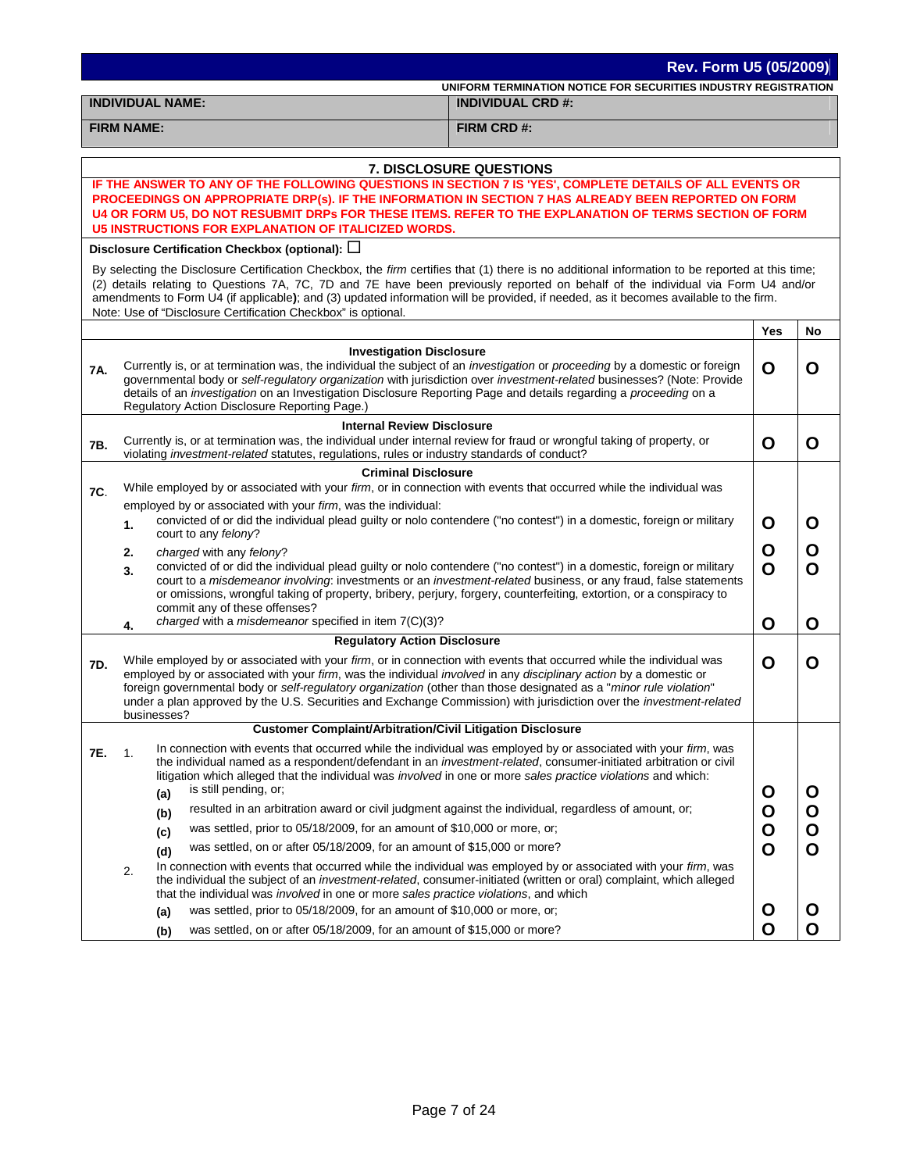|     | Rev. Form U5 (05/2009) |                                                                                                                                                                                                                                                                                                                                                                                                    |                                                                                                                                                                                                                                                                                                                                                                                                                             |     |             |  |  |  |  |  |
|-----|------------------------|----------------------------------------------------------------------------------------------------------------------------------------------------------------------------------------------------------------------------------------------------------------------------------------------------------------------------------------------------------------------------------------------------|-----------------------------------------------------------------------------------------------------------------------------------------------------------------------------------------------------------------------------------------------------------------------------------------------------------------------------------------------------------------------------------------------------------------------------|-----|-------------|--|--|--|--|--|
|     |                        |                                                                                                                                                                                                                                                                                                                                                                                                    | UNIFORM TERMINATION NOTICE FOR SECURITIES INDUSTRY REGISTRATION                                                                                                                                                                                                                                                                                                                                                             |     |             |  |  |  |  |  |
|     |                        | <b>INDIVIDUAL NAME:</b>                                                                                                                                                                                                                                                                                                                                                                            | <b>INDIVIDUAL CRD #:</b>                                                                                                                                                                                                                                                                                                                                                                                                    |     |             |  |  |  |  |  |
|     | <b>FIRM NAME:</b>      |                                                                                                                                                                                                                                                                                                                                                                                                    | FIRM CRD #:                                                                                                                                                                                                                                                                                                                                                                                                                 |     |             |  |  |  |  |  |
|     |                        |                                                                                                                                                                                                                                                                                                                                                                                                    | <b>7. DISCLOSURE QUESTIONS</b>                                                                                                                                                                                                                                                                                                                                                                                              |     |             |  |  |  |  |  |
|     |                        |                                                                                                                                                                                                                                                                                                                                                                                                    | IF THE ANSWER TO ANY OF THE FOLLOWING QUESTIONS IN SECTION 7 IS 'YES', COMPLETE DETAILS OF ALL EVENTS OR                                                                                                                                                                                                                                                                                                                    |     |             |  |  |  |  |  |
|     |                        |                                                                                                                                                                                                                                                                                                                                                                                                    | PROCEEDINGS ON APPROPRIATE DRP(s). IF THE INFORMATION IN SECTION 7 HAS ALREADY BEEN REPORTED ON FORM<br>U4 OR FORM U5, DO NOT RESUBMIT DRPs FOR THESE ITEMS. REFER TO THE EXPLANATION OF TERMS SECTION OF FORM                                                                                                                                                                                                              |     |             |  |  |  |  |  |
|     |                        | <b>U5 INSTRUCTIONS FOR EXPLANATION OF ITALICIZED WORDS.</b>                                                                                                                                                                                                                                                                                                                                        |                                                                                                                                                                                                                                                                                                                                                                                                                             |     |             |  |  |  |  |  |
|     |                        | Disclosure Certification Checkbox (optional): $\Box$                                                                                                                                                                                                                                                                                                                                               |                                                                                                                                                                                                                                                                                                                                                                                                                             |     |             |  |  |  |  |  |
|     |                        | Note: Use of "Disclosure Certification Checkbox" is optional.                                                                                                                                                                                                                                                                                                                                      | By selecting the Disclosure Certification Checkbox, the firm certifies that (1) there is no additional information to be reported at this time;<br>(2) details relating to Questions 7A, 7C, 7D and 7E have been previously reported on behalf of the individual via Form U4 and/or<br>amendments to Form U4 (if applicable); and (3) updated information will be provided, if needed, as it becomes available to the firm. |     |             |  |  |  |  |  |
|     |                        |                                                                                                                                                                                                                                                                                                                                                                                                    |                                                                                                                                                                                                                                                                                                                                                                                                                             | Yes | No          |  |  |  |  |  |
|     |                        | <b>Investigation Disclosure</b>                                                                                                                                                                                                                                                                                                                                                                    |                                                                                                                                                                                                                                                                                                                                                                                                                             |     |             |  |  |  |  |  |
| 7A. |                        | Currently is, or at termination was, the individual the subject of an investigation or proceeding by a domestic or foreign<br>details of an <i>investigation</i> on an Investigation Disclosure Reporting Page and details regarding a <i>proceeding</i> on a<br>Regulatory Action Disclosure Reporting Page.)                                                                                     | governmental body or self-regulatory organization with jurisdiction over investment-related businesses? (Note: Provide                                                                                                                                                                                                                                                                                                      | O   | O           |  |  |  |  |  |
|     |                        | <b>Internal Review Disclosure</b>                                                                                                                                                                                                                                                                                                                                                                  |                                                                                                                                                                                                                                                                                                                                                                                                                             |     |             |  |  |  |  |  |
| 7B. |                        | Currently is, or at termination was, the individual under internal review for fraud or wrongful taking of property, or<br>violating investment-related statutes, regulations, rules or industry standards of conduct?                                                                                                                                                                              |                                                                                                                                                                                                                                                                                                                                                                                                                             | O   | O           |  |  |  |  |  |
|     |                        | <b>Criminal Disclosure</b>                                                                                                                                                                                                                                                                                                                                                                         |                                                                                                                                                                                                                                                                                                                                                                                                                             |     |             |  |  |  |  |  |
| 7C. |                        | While employed by or associated with your firm, or in connection with events that occurred while the individual was                                                                                                                                                                                                                                                                                |                                                                                                                                                                                                                                                                                                                                                                                                                             |     |             |  |  |  |  |  |
|     |                        | employed by or associated with your firm, was the individual:                                                                                                                                                                                                                                                                                                                                      |                                                                                                                                                                                                                                                                                                                                                                                                                             |     |             |  |  |  |  |  |
|     | 1.                     | convicted of or did the individual plead guilty or nolo contendere ("no contest") in a domestic, foreign or military<br>court to any felony?                                                                                                                                                                                                                                                       |                                                                                                                                                                                                                                                                                                                                                                                                                             | O   | O           |  |  |  |  |  |
|     | 2.                     | charged with any felony?                                                                                                                                                                                                                                                                                                                                                                           |                                                                                                                                                                                                                                                                                                                                                                                                                             | O   | O           |  |  |  |  |  |
|     | 3.                     | convicted of or did the individual plead guilty or nolo contendere ("no contest") in a domestic, foreign or military<br>or omissions, wrongful taking of property, bribery, perjury, forgery, counterfeiting, extortion, or a conspiracy to<br>commit any of these offenses?                                                                                                                       | court to a misdemeanor involving: investments or an investment-related business, or any fraud, false statements                                                                                                                                                                                                                                                                                                             | O   | O           |  |  |  |  |  |
|     | 4.                     | charged with a misdemeanor specified in item 7(C)(3)?                                                                                                                                                                                                                                                                                                                                              |                                                                                                                                                                                                                                                                                                                                                                                                                             | O   | O           |  |  |  |  |  |
|     |                        | <b>Regulatory Action Disclosure</b>                                                                                                                                                                                                                                                                                                                                                                |                                                                                                                                                                                                                                                                                                                                                                                                                             |     |             |  |  |  |  |  |
| 7D. |                        | While employed by or associated with your firm, or in connection with events that occurred while the individual was<br>employed by or associated with your firm, was the individual involved in any disciplinary action by a domestic or<br>foreign governmental body or self-regulatory organization (other than those designated as a "minor rule violation"<br>businesses?                      | under a plan approved by the U.S. Securities and Exchange Commission) with jurisdiction over the <i>investment-related</i>                                                                                                                                                                                                                                                                                                  | O   | O           |  |  |  |  |  |
|     |                        | <b>Customer Complaint/Arbitration/Civil Litigation Disclosure</b>                                                                                                                                                                                                                                                                                                                                  |                                                                                                                                                                                                                                                                                                                                                                                                                             |     |             |  |  |  |  |  |
| 7E. | 1.                     | In connection with events that occurred while the individual was employed by or associated with your firm, was<br>the individual named as a respondent/defendant in an <i>investment-related</i> , consumer-initiated arbitration or civil<br>litigation which alleged that the individual was <i>involved</i> in one or more sales practice violations and which:<br>is still pending, or;<br>(a) |                                                                                                                                                                                                                                                                                                                                                                                                                             | O   | O           |  |  |  |  |  |
|     |                        | resulted in an arbitration award or civil judgment against the individual, regardless of amount, or;<br>(b)                                                                                                                                                                                                                                                                                        |                                                                                                                                                                                                                                                                                                                                                                                                                             | O   | $\mathbf O$ |  |  |  |  |  |
|     |                        | was settled, prior to 05/18/2009, for an amount of \$10,000 or more, or;<br>(c)                                                                                                                                                                                                                                                                                                                    |                                                                                                                                                                                                                                                                                                                                                                                                                             | O   | O           |  |  |  |  |  |
|     |                        | was settled, on or after 05/18/2009, for an amount of \$15,000 or more?<br>(d)                                                                                                                                                                                                                                                                                                                     |                                                                                                                                                                                                                                                                                                                                                                                                                             | O   | O           |  |  |  |  |  |
|     | 2.                     | In connection with events that occurred while the individual was employed by or associated with your firm, was<br>the individual the subject of an investment-related, consumer-initiated (written or oral) complaint, which alleged<br>that the individual was involved in one or more sales practice violations, and which                                                                       |                                                                                                                                                                                                                                                                                                                                                                                                                             |     |             |  |  |  |  |  |
|     |                        | was settled, prior to 05/18/2009, for an amount of \$10,000 or more, or;<br>(a)                                                                                                                                                                                                                                                                                                                    |                                                                                                                                                                                                                                                                                                                                                                                                                             | O   | O           |  |  |  |  |  |
|     |                        | was settled, on or after 05/18/2009, for an amount of \$15,000 or more?<br>(b)                                                                                                                                                                                                                                                                                                                     |                                                                                                                                                                                                                                                                                                                                                                                                                             | O   | Ο           |  |  |  |  |  |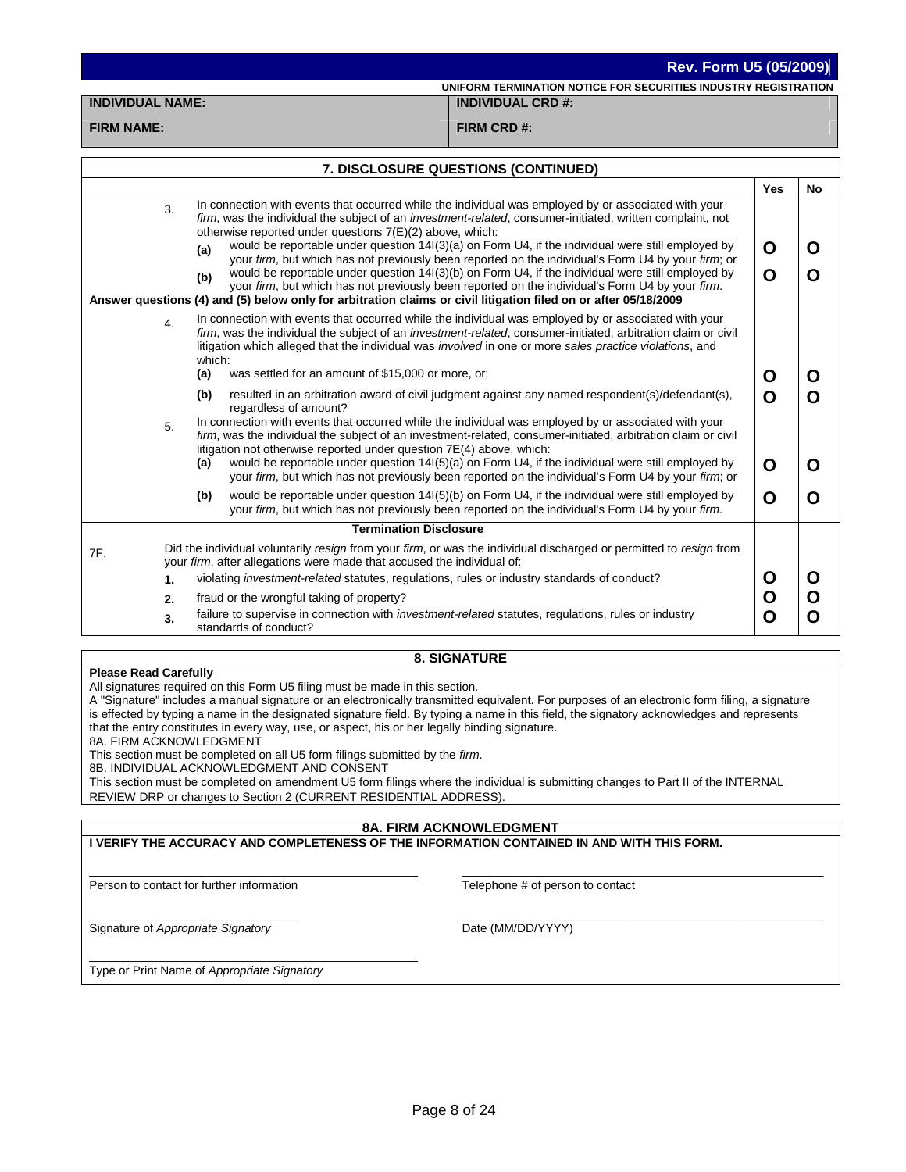**UNIFORM TERMINATION NOTICE FOR SECURITIES INDUSTRY REGISTRATION INDIVIDUAL NAME: INDIVIDUAL CRD #:**

# **FIRM NAME: FIRM CRD #:**

| 7. DISCLOSURE QUESTIONS (CONTINUED) |    |                                                                                                                                                                                                                                                                                                                                                                                                                                                                                                                                                                                                                                                                                                                                                                                                                                 |            |           |  |  |  |  |  |  |
|-------------------------------------|----|---------------------------------------------------------------------------------------------------------------------------------------------------------------------------------------------------------------------------------------------------------------------------------------------------------------------------------------------------------------------------------------------------------------------------------------------------------------------------------------------------------------------------------------------------------------------------------------------------------------------------------------------------------------------------------------------------------------------------------------------------------------------------------------------------------------------------------|------------|-----------|--|--|--|--|--|--|
|                                     |    |                                                                                                                                                                                                                                                                                                                                                                                                                                                                                                                                                                                                                                                                                                                                                                                                                                 | <b>Yes</b> | <b>No</b> |  |  |  |  |  |  |
|                                     | 3. | In connection with events that occurred while the individual was employed by or associated with your<br>firm, was the individual the subject of an investment-related, consumer-initiated, written complaint, not<br>otherwise reported under questions 7(E)(2) above, which:<br>would be reportable under question 14(3)(a) on Form U4, if the individual were still employed by<br>(a)<br>your firm, but which has not previously been reported on the individual's Form U4 by your firm; or<br>would be reportable under question 14(3)(b) on Form U4, if the individual were still employed by<br>(b)<br>your firm, but which has not previously been reported on the individual's Form U4 by your firm.<br>Answer questions (4) and (5) below only for arbitration claims or civil litigation filed on or after 05/18/2009 | O<br>O     | O<br>O    |  |  |  |  |  |  |
|                                     | 4. | In connection with events that occurred while the individual was employed by or associated with your<br>firm, was the individual the subject of an investment-related, consumer-initiated, arbitration claim or civil<br>litigation which alleged that the individual was <i>involved</i> in one or more sales practice violations, and<br>which:<br>was settled for an amount of \$15,000 or more, or;<br>(a)                                                                                                                                                                                                                                                                                                                                                                                                                  | O          | O         |  |  |  |  |  |  |
|                                     |    | (b)<br>resulted in an arbitration award of civil judgment against any named respondent(s)/defendant(s),                                                                                                                                                                                                                                                                                                                                                                                                                                                                                                                                                                                                                                                                                                                         |            |           |  |  |  |  |  |  |
|                                     | 5. | regardless of amount?<br>In connection with events that occurred while the individual was employed by or associated with your<br>firm, was the individual the subject of an investment-related, consumer-initiated, arbitration claim or civil<br>litigation not otherwise reported under question 7E(4) above, which:                                                                                                                                                                                                                                                                                                                                                                                                                                                                                                          | O          | O         |  |  |  |  |  |  |
|                                     |    | would be reportable under question 14(5)(a) on Form U4, if the individual were still employed by<br>(a)<br>your firm, but which has not previously been reported on the individual's Form U4 by your firm; or                                                                                                                                                                                                                                                                                                                                                                                                                                                                                                                                                                                                                   | O          | O         |  |  |  |  |  |  |
|                                     |    | (b)<br>would be reportable under question 14(5)(b) on Form U4, if the individual were still employed by<br>your firm, but which has not previously been reported on the individual's Form U4 by your firm.                                                                                                                                                                                                                                                                                                                                                                                                                                                                                                                                                                                                                      | O          | O         |  |  |  |  |  |  |
|                                     |    | <b>Termination Disclosure</b>                                                                                                                                                                                                                                                                                                                                                                                                                                                                                                                                                                                                                                                                                                                                                                                                   |            |           |  |  |  |  |  |  |
| 7F.                                 |    | Did the individual voluntarily resign from your firm, or was the individual discharged or permitted to resign from<br>your firm, after allegations were made that accused the individual of:                                                                                                                                                                                                                                                                                                                                                                                                                                                                                                                                                                                                                                    |            |           |  |  |  |  |  |  |
|                                     | 1. | violating <i>investment-related</i> statutes, regulations, rules or industry standards of conduct?                                                                                                                                                                                                                                                                                                                                                                                                                                                                                                                                                                                                                                                                                                                              | O          | O         |  |  |  |  |  |  |
|                                     | 2. | fraud or the wrongful taking of property?                                                                                                                                                                                                                                                                                                                                                                                                                                                                                                                                                                                                                                                                                                                                                                                       | O          | O         |  |  |  |  |  |  |
|                                     | 3. | failure to supervise in connection with <i>investment-related</i> statutes, regulations, rules or industry<br>O<br>O<br>standards of conduct?                                                                                                                                                                                                                                                                                                                                                                                                                                                                                                                                                                                                                                                                                   |            |           |  |  |  |  |  |  |

### **8. SIGNATURE**

| <b>Please Read Carefully</b>                                                                                                                  |  |  |  |  |  |  |
|-----------------------------------------------------------------------------------------------------------------------------------------------|--|--|--|--|--|--|
| All signatures required on this Form U5 filing must be made in this section.                                                                  |  |  |  |  |  |  |
| A "Signature" includes a manual signature or an electronically transmitted equivalent. For purposes of an electronic form filing, a signature |  |  |  |  |  |  |
| is effected by typing a name in the designated signature field. By typing a name in this field, the signatory acknowledges and represents     |  |  |  |  |  |  |
| that the entry constitutes in every way, use, or aspect, his or her legally binding signature.                                                |  |  |  |  |  |  |
| 8A. FIRM ACKNOWLEDGMENT                                                                                                                       |  |  |  |  |  |  |
| This section must be completed on all U5 form filings submitted by the <i>firm</i> .                                                          |  |  |  |  |  |  |
| 8B. INDIVIDUAL ACKNOWLEDGMENT AND CONSENT                                                                                                     |  |  |  |  |  |  |
| This section must be completed on amendment U5 form filings where the individual is submitting changes to Part II of the INTERNAL             |  |  |  |  |  |  |
| REVIEW DRP or changes to Section 2 (CURRENT RESIDENTIAL ADDRESS).                                                                             |  |  |  |  |  |  |
|                                                                                                                                               |  |  |  |  |  |  |
| -------------------------                                                                                                                     |  |  |  |  |  |  |

#### **8A. FIRM ACKNOWLEDGMENT**

**I VERIFY THE ACCURACY AND COMPLETENESS OF THE INFORMATION CONTAINED IN AND WITH THIS FORM.**  $\mathcal{L}_\text{max}$  and  $\mathcal{L}_\text{max}$  and  $\mathcal{L}_\text{max}$  and  $\mathcal{L}_\text{max}$  and  $\mathcal{L}_\text{max}$ Person to contact for further information  $\mathcal{L}_\text{max}$  and  $\mathcal{L}_\text{max}$  and  $\mathcal{L}_\text{max}$  and  $\mathcal{L}_\text{max}$  and  $\mathcal{L}_\text{max}$  and  $\mathcal{L}_\text{max}$ Telephone # of person to contact \_\_\_\_\_\_\_\_\_\_\_\_\_\_\_\_\_\_\_\_\_\_\_\_\_\_\_\_\_\_\_\_ Signature of *Appropriate Signatory* \_\_\_\_\_\_\_\_\_\_\_\_\_\_\_\_\_\_\_\_\_\_\_\_\_\_\_\_\_\_\_\_\_\_\_\_\_\_\_\_\_\_\_\_\_\_\_\_\_\_\_\_\_\_\_ Date (MM/DD/YYYY) \_\_\_\_\_\_\_\_\_\_\_\_\_\_\_\_\_\_\_\_\_\_\_\_\_\_\_\_\_\_\_\_\_\_\_\_\_\_\_\_\_\_\_\_\_\_\_\_\_\_ Type or Print Name of *Appropriate Signatory*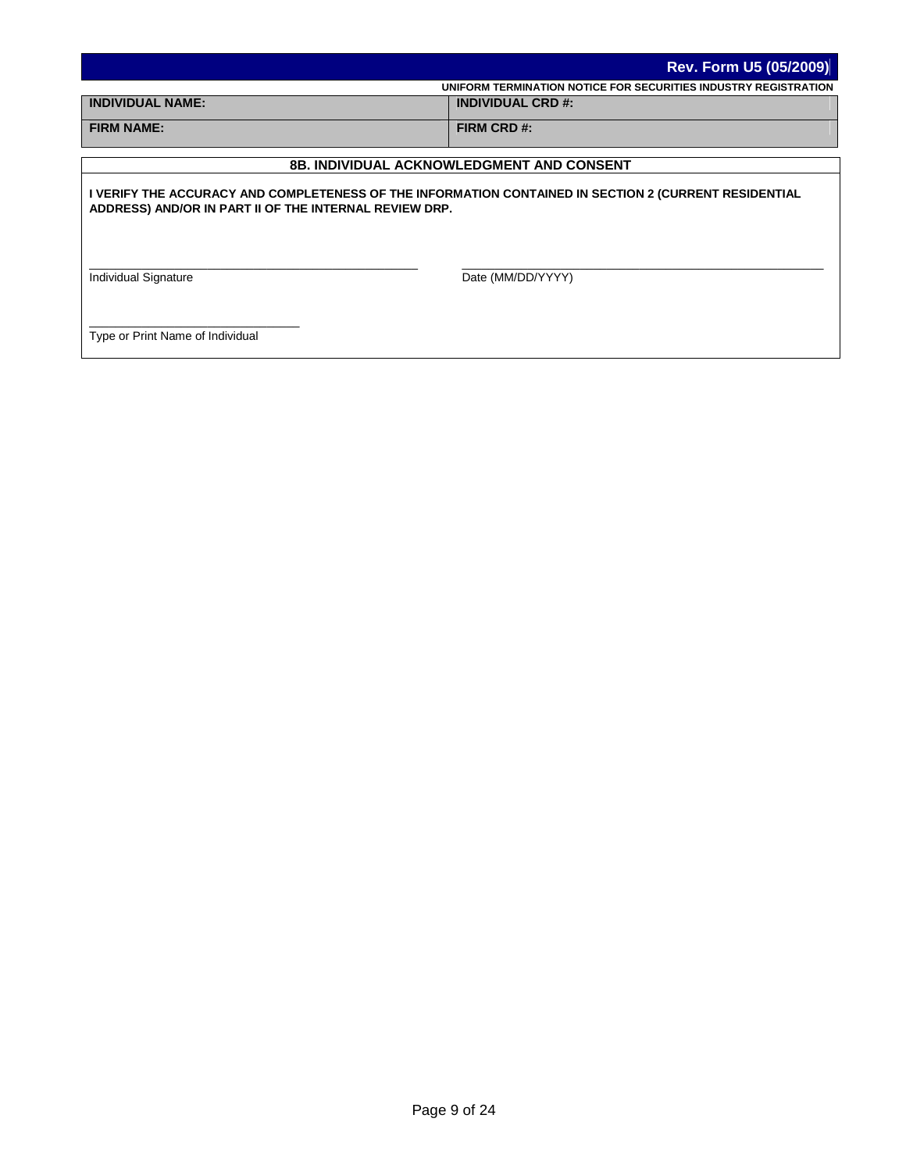|                                                                                                                                                                 | <b>Rev. Form U5 (05/2009)</b> |  |  |  |  |  |  |  |
|-----------------------------------------------------------------------------------------------------------------------------------------------------------------|-------------------------------|--|--|--|--|--|--|--|
| UNIFORM TERMINATION NOTICE FOR SECURITIES INDUSTRY REGISTRATION                                                                                                 |                               |  |  |  |  |  |  |  |
| <b>INDIVIDUAL NAME:</b>                                                                                                                                         | <b>INDIVIDUAL CRD #:</b>      |  |  |  |  |  |  |  |
| <b>FIRM NAME:</b>                                                                                                                                               | FIRM CRD #:                   |  |  |  |  |  |  |  |
|                                                                                                                                                                 |                               |  |  |  |  |  |  |  |
| <b>8B. INDIVIDUAL ACKNOWLEDGMENT AND CONSENT</b>                                                                                                                |                               |  |  |  |  |  |  |  |
| I VERIFY THE ACCURACY AND COMPLETENESS OF THE INFORMATION CONTAINED IN SECTION 2 (CURRENT RESIDENTIAL<br>ADDRESS) AND/OR IN PART II OF THE INTERNAL REVIEW DRP. |                               |  |  |  |  |  |  |  |

Individual Signature

Date (MM/DD/YYYY)

 $\mathcal{L}_\text{max}$  and  $\mathcal{L}_\text{max}$  and  $\mathcal{L}_\text{max}$  and  $\mathcal{L}_\text{max}$  and  $\mathcal{L}_\text{max}$  and  $\mathcal{L}_\text{max}$ 

Type or Print Name of Individual

\_\_\_\_\_\_\_\_\_\_\_\_\_\_\_\_\_\_\_\_\_\_\_\_\_\_\_\_\_\_\_\_

 $\mathcal{L}_\text{max}$  and  $\mathcal{L}_\text{max}$  and  $\mathcal{L}_\text{max}$  and  $\mathcal{L}_\text{max}$  and  $\mathcal{L}_\text{max}$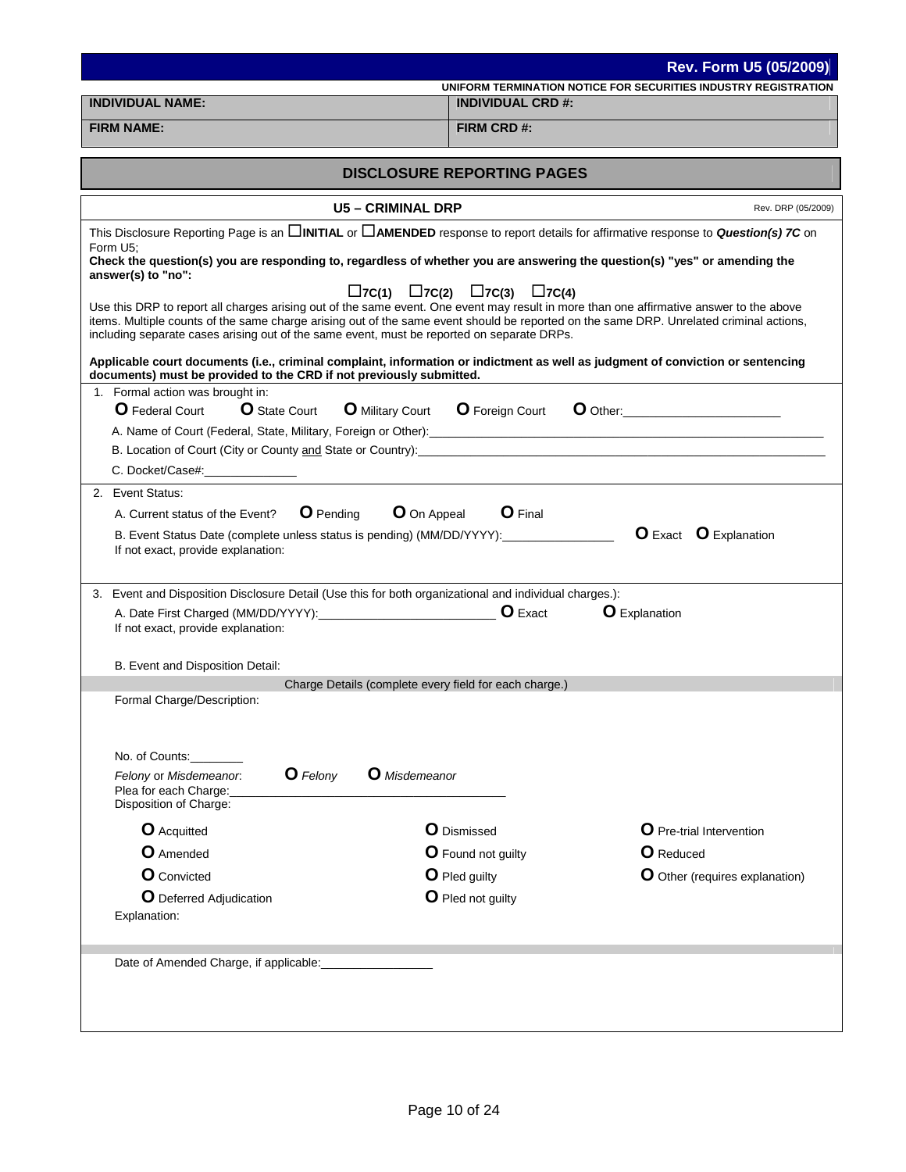|                                                                                                                                                                                                                                | Rev. Form U5 (05/2009)                                                                                                                                  |  |
|--------------------------------------------------------------------------------------------------------------------------------------------------------------------------------------------------------------------------------|---------------------------------------------------------------------------------------------------------------------------------------------------------|--|
| INDIVIDUAL NAME:                                                                                                                                                                                                               | UNIFORM TERMINATION NOTICE FOR SECURITIES INDUSTRY REGISTRATION<br><b>INDIVIDUAL CRD #:</b>                                                             |  |
|                                                                                                                                                                                                                                |                                                                                                                                                         |  |
| <b>FIRM NAME:</b>                                                                                                                                                                                                              | FIRM CRD #:                                                                                                                                             |  |
|                                                                                                                                                                                                                                | <b>DISCLOSURE REPORTING PAGES</b>                                                                                                                       |  |
| <b>U5-CRIMINAL DRP</b>                                                                                                                                                                                                         | Rev. DRP (05/2009)                                                                                                                                      |  |
|                                                                                                                                                                                                                                | This Disclosure Reporting Page is an <b>CHNITIAL</b> or <b>CAMENDED</b> response to report details for affirmative response to <b>Question(s)</b> 7C on |  |
| Form U5:<br>Check the question(s) you are responding to, regardless of whether you are answering the question(s) "yes" or amending the<br>answer(s) to "no":                                                                   |                                                                                                                                                         |  |
| $\Box$ 7C(1)<br>Use this DRP to report all charges arising out of the same event. One event may result in more than one affirmative answer to the above                                                                        | $\square$ 7C(2) $\square$ 7C(3) $\square$ 7C(4)                                                                                                         |  |
| including separate cases arising out of the same event, must be reported on separate DRPs.                                                                                                                                     | items. Multiple counts of the same charge arising out of the same event should be reported on the same DRP. Unrelated criminal actions,                 |  |
| Applicable court documents (i.e., criminal complaint, information or indictment as well as judgment of conviction or sentencing<br>documents) must be provided to the CRD if not previously submitted.                         |                                                                                                                                                         |  |
| 1. Formal action was brought in:                                                                                                                                                                                               |                                                                                                                                                         |  |
| <b>O</b> Federal Court<br><b>O</b> State Court<br><b>O</b> Military Court <b>O</b> Foreign Court                                                                                                                               |                                                                                                                                                         |  |
| A. Name of Court (Federal, State, Military, Foreign or Other): [2009] [2009] [2009] [2009] [2009] [2009] [2009] [2009] [2009] [2009] [2009] [2009] [2009] [2009] [2009] [2009] [2009] [2009] [2009] [2009] [2009] [2009] [2009 |                                                                                                                                                         |  |
| B. Location of Court (City or County and State or Country): Department of the country of Court (City or County and State or Country):<br>C. Docket/Case#:_______________                                                       |                                                                                                                                                         |  |
|                                                                                                                                                                                                                                |                                                                                                                                                         |  |
| 2. Event Status:                                                                                                                                                                                                               |                                                                                                                                                         |  |
| <b>O</b> On Appeal<br><b>O</b> Pending<br>A. Current status of the Event?                                                                                                                                                      | <b>O</b> Final                                                                                                                                          |  |
| B. Event Status Date (complete unless status is pending) (MM/DD/YYYY):<br>If not exact, provide explanation:                                                                                                                   | <b>O</b> Exact <b>O</b> Explanation                                                                                                                     |  |
| 3. Event and Disposition Disclosure Detail (Use this for both organizational and individual charges.):                                                                                                                         |                                                                                                                                                         |  |
|                                                                                                                                                                                                                                | <b>O</b> Explanation                                                                                                                                    |  |
| If not exact, provide explanation:                                                                                                                                                                                             |                                                                                                                                                         |  |
| B. Event and Disposition Detail:                                                                                                                                                                                               |                                                                                                                                                         |  |
| Charge Details (complete every field for each charge.)                                                                                                                                                                         |                                                                                                                                                         |  |
| Formal Charge/Description:                                                                                                                                                                                                     |                                                                                                                                                         |  |
|                                                                                                                                                                                                                                |                                                                                                                                                         |  |
| No. of Counts:                                                                                                                                                                                                                 |                                                                                                                                                         |  |
| <b>O</b> Felony<br><b>O</b> Misdemeanor<br>Felony or Misdemeanor.<br>Plea for each Charge:<br>Disposition of Charge:                                                                                                           |                                                                                                                                                         |  |
| <b>O</b> Acquitted                                                                                                                                                                                                             | <b>O</b> Dismissed<br><b>O</b> Pre-trial Intervention                                                                                                   |  |
| <b>O</b> Amended                                                                                                                                                                                                               | <b>O</b> Found not guilty<br><b>O</b> Reduced                                                                                                           |  |
| <b>O</b> Convicted                                                                                                                                                                                                             | O Pled guilty<br><b>O</b> Other (requires explanation)                                                                                                  |  |
| O Deferred Adjudication                                                                                                                                                                                                        | O Pled not guilty                                                                                                                                       |  |
| Explanation:                                                                                                                                                                                                                   |                                                                                                                                                         |  |
| Date of Amended Charge, if applicable:                                                                                                                                                                                         |                                                                                                                                                         |  |
|                                                                                                                                                                                                                                |                                                                                                                                                         |  |
|                                                                                                                                                                                                                                |                                                                                                                                                         |  |
|                                                                                                                                                                                                                                |                                                                                                                                                         |  |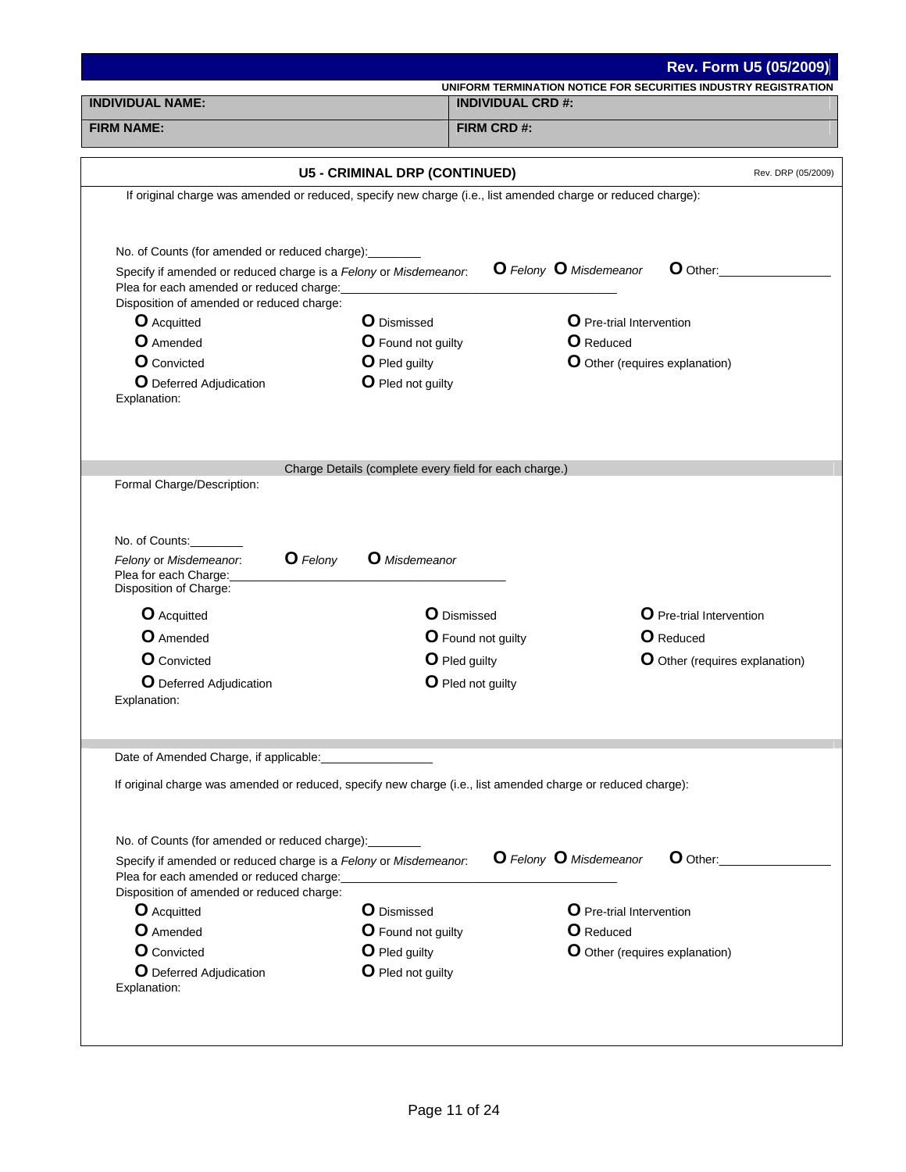|                                                                                                                                                                        |                                                                         | Rev. Form U5 (05/2009)                                          |
|------------------------------------------------------------------------------------------------------------------------------------------------------------------------|-------------------------------------------------------------------------|-----------------------------------------------------------------|
| <b>INDIVIDUAL NAME:</b>                                                                                                                                                | <b>INDIVIDUAL CRD #:</b>                                                | UNIFORM TERMINATION NOTICE FOR SECURITIES INDUSTRY REGISTRATION |
|                                                                                                                                                                        |                                                                         |                                                                 |
| <b>FIRM NAME:</b>                                                                                                                                                      | FIRM CRD #:                                                             |                                                                 |
|                                                                                                                                                                        | <b>U5 - CRIMINAL DRP (CONTINUED)</b>                                    | Rev. DRP (05/2009)                                              |
| If original charge was amended or reduced, specify new charge (i.e., list amended charge or reduced charge):                                                           |                                                                         |                                                                 |
| No. of Counts (for amended or reduced charge): _______<br>Specify if amended or reduced charge is a Felony or Misdemeanor.<br>Plea for each amended or reduced charge: |                                                                         | <b>O</b> Felony <b>O</b> Misdemeanor<br>$\bullet$ Other:        |
| Disposition of amended or reduced charge:                                                                                                                              |                                                                         |                                                                 |
| O Acquitted                                                                                                                                                            | <b>O</b> Dismissed                                                      | O Pre-trial Intervention                                        |
| <b>O</b> Amended                                                                                                                                                       | <b>O</b> Found not guilty                                               | <b>O</b> Reduced                                                |
| <b>O</b> Convicted                                                                                                                                                     | O Pled guilty                                                           | O Other (requires explanation)                                  |
| <b>O</b> Deferred Adjudication<br>Explanation:                                                                                                                         | O Pled not guilty                                                       |                                                                 |
|                                                                                                                                                                        |                                                                         |                                                                 |
| No. of Counts:<br><b>O</b> Felony<br>Felony or Misdemeanor.<br>Plea for each Charge:<br>Disposition of Charge:<br><b>O</b> Acquitted<br>O Amended                      | <b>O</b> Misdemeanor<br><b>O</b> Dismissed<br><b>O</b> Found not guilty | O Pre-trial Intervention<br><b>O</b> Reduced                    |
| <b>O</b> Convicted                                                                                                                                                     | O Pled guilty                                                           | O Other (requires explanation)                                  |
| <b>O</b> Deferred Adjudication<br>Explanation:                                                                                                                         | O Pled not guilty                                                       |                                                                 |
| Date of Amended Charge, if applicable:                                                                                                                                 |                                                                         |                                                                 |
| If original charge was amended or reduced, specify new charge (i.e., list amended charge or reduced charge):                                                           |                                                                         |                                                                 |
| No. of Counts (for amended or reduced charge):<br>Specify if amended or reduced charge is a Felony or Misdemeanor.<br>Plea for each amended or reduced charge:         |                                                                         | <b>O</b> Felony <b>O</b> Misdemeanor<br>O Other:                |
| Disposition of amended or reduced charge:                                                                                                                              |                                                                         |                                                                 |
| <b>O</b> Acquitted                                                                                                                                                     | <b>O</b> Dismissed                                                      | <b>O</b> Pre-trial Intervention                                 |
| <b>O</b> Amended                                                                                                                                                       | <b>O</b> Found not guilty                                               | O Reduced                                                       |
| <b>O</b> Convicted<br><b>O</b> Deferred Adjudication                                                                                                                   | O Pled guilty<br>O Pled not guilty                                      | O Other (requires explanation)                                  |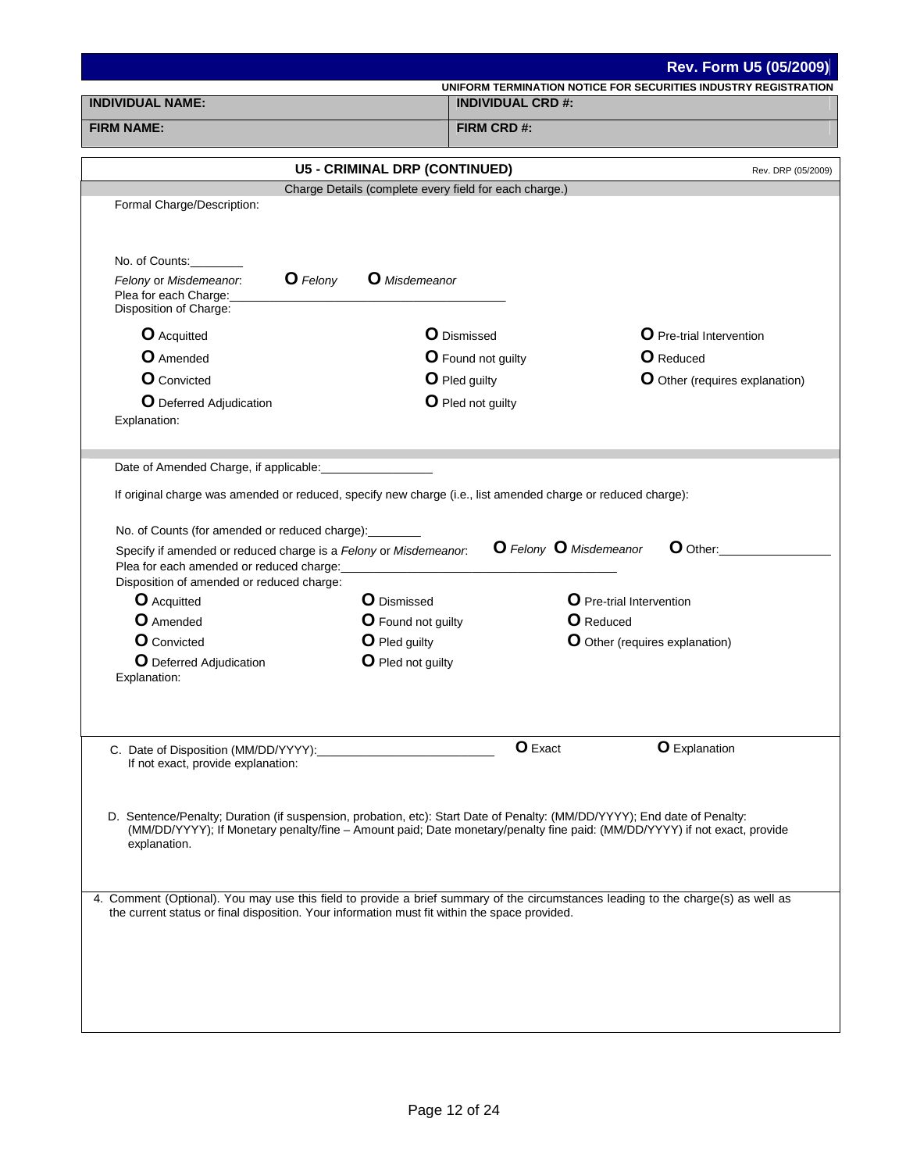|                                                                                                                                                                                                                                    |                                                        |                           | Rev. Form U5 (05/2009)                                                                                                    |
|------------------------------------------------------------------------------------------------------------------------------------------------------------------------------------------------------------------------------------|--------------------------------------------------------|---------------------------|---------------------------------------------------------------------------------------------------------------------------|
|                                                                                                                                                                                                                                    |                                                        |                           | UNIFORM TERMINATION NOTICE FOR SECURITIES INDUSTRY REGISTRATION                                                           |
| <b>INDIVIDUAL NAME:</b><br><b>INDIVIDUAL CRD #:</b>                                                                                                                                                                                |                                                        |                           |                                                                                                                           |
| <b>FIRM NAME:</b><br>FIRM CRD #:                                                                                                                                                                                                   |                                                        |                           |                                                                                                                           |
|                                                                                                                                                                                                                                    | <b>U5 - CRIMINAL DRP (CONTINUED)</b>                   |                           | Rev. DRP (05/2009)                                                                                                        |
|                                                                                                                                                                                                                                    | Charge Details (complete every field for each charge.) |                           |                                                                                                                           |
| Formal Charge/Description:                                                                                                                                                                                                         |                                                        |                           |                                                                                                                           |
| No. of Counts:                                                                                                                                                                                                                     |                                                        |                           |                                                                                                                           |
| <b>O</b> Felony<br>Felony or Misdemeanor.<br>Plea for each Charge:<br>Disposition of Charge:                                                                                                                                       | <b>O</b> Misdemeanor                                   |                           |                                                                                                                           |
| <b>O</b> Acquitted                                                                                                                                                                                                                 | <b>O</b> Dismissed                                     |                           | <b>O</b> Pre-trial Intervention                                                                                           |
| <b>O</b> Amended                                                                                                                                                                                                                   |                                                        | <b>O</b> Found not guilty | <b>O</b> Reduced                                                                                                          |
| <b>O</b> Convicted                                                                                                                                                                                                                 | O Pled guilty                                          |                           | O Other (requires explanation)                                                                                            |
| <b>O</b> Deferred Adjudication<br>Explanation:                                                                                                                                                                                     | O Pled not guilty                                      |                           |                                                                                                                           |
| Date of Amended Charge, if applicable:<br>If original charge was amended or reduced, specify new charge (i.e., list amended charge or reduced charge):                                                                             |                                                        |                           |                                                                                                                           |
| No. of Counts (for amended or reduced charge):                                                                                                                                                                                     |                                                        |                           |                                                                                                                           |
| Specify if amended or reduced charge is a Felony or Misdemeanor.<br>Plea for each amended or reduced charge:                                                                                                                       |                                                        | O Felony O Misdemeanor    | <b>O</b> Other:                                                                                                           |
| Disposition of amended or reduced charge:<br><b>O</b> Acquitted                                                                                                                                                                    | <b>O</b> Dismissed                                     |                           | <b>O</b> Pre-trial Intervention                                                                                           |
| <b>O</b> Amended                                                                                                                                                                                                                   | <b>O</b> Found not guilty                              |                           | <b>O</b> Reduced                                                                                                          |
| <b>O</b> Convicted                                                                                                                                                                                                                 | O Pled guilty                                          |                           | O Other (requires explanation)                                                                                            |
| O Deferred Adjudication<br>Explanation:                                                                                                                                                                                            | O Pled not guilty                                      |                           |                                                                                                                           |
|                                                                                                                                                                                                                                    |                                                        |                           |                                                                                                                           |
| C. Date of Disposition (MM/DD/YYYY):<br>If not exact, provide explanation:                                                                                                                                                         |                                                        | <b>O</b> Exact            | <b>O</b> Explanation                                                                                                      |
|                                                                                                                                                                                                                                    |                                                        |                           |                                                                                                                           |
| D. Sentence/Penalty; Duration (if suspension, probation, etc): Start Date of Penalty: (MM/DD/YYYY); End date of Penalty:<br>explanation.                                                                                           |                                                        |                           | (MM/DD/YYYY); If Monetary penalty/fine - Amount paid; Date monetary/penalty fine paid: (MM/DD/YYYY) if not exact, provide |
|                                                                                                                                                                                                                                    |                                                        |                           |                                                                                                                           |
| 4. Comment (Optional). You may use this field to provide a brief summary of the circumstances leading to the charge(s) as well as<br>the current status or final disposition. Your information must fit within the space provided. |                                                        |                           |                                                                                                                           |
|                                                                                                                                                                                                                                    |                                                        |                           |                                                                                                                           |
|                                                                                                                                                                                                                                    |                                                        |                           |                                                                                                                           |
|                                                                                                                                                                                                                                    |                                                        |                           |                                                                                                                           |
|                                                                                                                                                                                                                                    |                                                        |                           |                                                                                                                           |
|                                                                                                                                                                                                                                    |                                                        |                           |                                                                                                                           |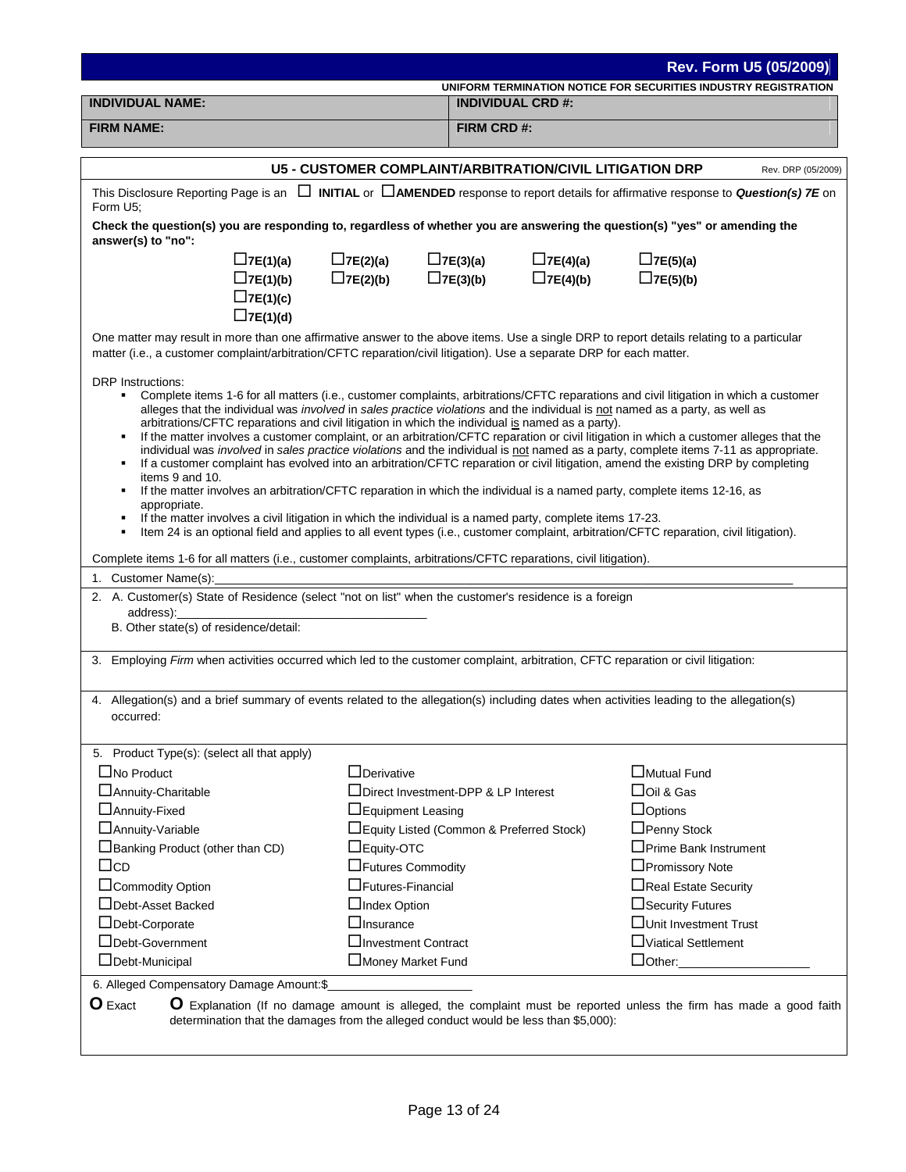|                                                                                                                                                                                                                                                                    |                                                          |                          |                 |                                   | Rev. Form U5 (05/2009)                                          |
|--------------------------------------------------------------------------------------------------------------------------------------------------------------------------------------------------------------------------------------------------------------------|----------------------------------------------------------|--------------------------|-----------------|-----------------------------------|-----------------------------------------------------------------|
|                                                                                                                                                                                                                                                                    |                                                          |                          |                 |                                   | UNIFORM TERMINATION NOTICE FOR SECURITIES INDUSTRY REGISTRATION |
| <b>INDIVIDUAL NAME:</b>                                                                                                                                                                                                                                            |                                                          | <b>INDIVIDUAL CRD #:</b> |                 |                                   |                                                                 |
| <b>FIRM NAME:</b>                                                                                                                                                                                                                                                  |                                                          | FIRM CRD #:              |                 |                                   |                                                                 |
|                                                                                                                                                                                                                                                                    | U5 - CUSTOMER COMPLAINT/ARBITRATION/CIVIL LITIGATION DRP |                          |                 |                                   | Rev. DRP (05/2009)                                              |
| This Disclosure Reporting Page is an $\Box$ INITIAL or $\Box$ AMENDED response to report details for affirmative response to Question(s) 7E on                                                                                                                     |                                                          |                          |                 |                                   |                                                                 |
| Form U5;                                                                                                                                                                                                                                                           |                                                          |                          |                 |                                   |                                                                 |
| Check the question(s) you are responding to, regardless of whether you are answering the question(s) "yes" or amending the<br>answer(s) to "no":                                                                                                                   |                                                          |                          |                 |                                   |                                                                 |
| $\Box$ 7E(1)(a)                                                                                                                                                                                                                                                    | $\Box$ 7E(2)(a)                                          | $\Box$ 7E(3)(a)          | $\Box$ 7E(4)(a) | $\Box$ 7E(5)(a)                   |                                                                 |
| $\Box$ 7E(1)(b)                                                                                                                                                                                                                                                    | $\Box$ 7E(2)(b)                                          | $\Box$ 7E(3)(b)          | $\Box$ 7E(4)(b) | $\Box$ 7E(5)(b)                   |                                                                 |
| $\Box$ 7E(1)(c)                                                                                                                                                                                                                                                    |                                                          |                          |                 |                                   |                                                                 |
| $\Box$ 7E(1)(d)                                                                                                                                                                                                                                                    |                                                          |                          |                 |                                   |                                                                 |
| One matter may result in more than one affirmative answer to the above items. Use a single DRP to report details relating to a particular<br>matter (i.e., a customer complaint/arbitration/CFTC reparation/civil litigation). Use a separate DRP for each matter. |                                                          |                          |                 |                                   |                                                                 |
| <b>DRP</b> Instructions:                                                                                                                                                                                                                                           |                                                          |                          |                 |                                   |                                                                 |
| Complete items 1-6 for all matters (i.e., customer complaints, arbitrations/CFTC reparations and civil litigation in which a customer                                                                                                                              |                                                          |                          |                 |                                   |                                                                 |
| alleges that the individual was <i>involved</i> in sales practice violations and the individual is not named as a party, as well as<br>arbitrations/CFTC reparations and civil litigation in which the individual is named as a party).                            |                                                          |                          |                 |                                   |                                                                 |
| If the matter involves a customer complaint, or an arbitration/CFTC reparation or civil litigation in which a customer alleges that the<br>٠                                                                                                                       |                                                          |                          |                 |                                   |                                                                 |
| individual was involved in sales practice violations and the individual is not named as a party, complete items 7-11 as appropriate.                                                                                                                               |                                                          |                          |                 |                                   |                                                                 |
| If a customer complaint has evolved into an arbitration/CFTC reparation or civil litigation, amend the existing DRP by completing<br>٠<br>items 9 and 10.                                                                                                          |                                                          |                          |                 |                                   |                                                                 |
| If the matter involves an arbitration/CFTC reparation in which the individual is a named party, complete items 12-16, as                                                                                                                                           |                                                          |                          |                 |                                   |                                                                 |
| appropriate.<br>If the matter involves a civil litigation in which the individual is a named party, complete items 17-23.<br>٠                                                                                                                                     |                                                          |                          |                 |                                   |                                                                 |
| Item 24 is an optional field and applies to all event types (i.e., customer complaint, arbitration/CFTC reparation, civil litigation).<br>٠                                                                                                                        |                                                          |                          |                 |                                   |                                                                 |
|                                                                                                                                                                                                                                                                    |                                                          |                          |                 |                                   |                                                                 |
| Complete items 1-6 for all matters (i.e., customer complaints, arbitrations/CFTC reparations, civil litigation).<br>1. Customer Name(s):                                                                                                                           |                                                          |                          |                 |                                   |                                                                 |
| 2. A. Customer(s) State of Residence (select "not on list" when the customer's residence is a foreign                                                                                                                                                              |                                                          |                          |                 |                                   |                                                                 |
| address):                                                                                                                                                                                                                                                          |                                                          |                          |                 |                                   |                                                                 |
| B. Other state(s) of residence/detail:                                                                                                                                                                                                                             |                                                          |                          |                 |                                   |                                                                 |
| 3. Employing Firm when activities occurred which led to the customer complaint, arbitration, CFTC reparation or civil litigation:                                                                                                                                  |                                                          |                          |                 |                                   |                                                                 |
|                                                                                                                                                                                                                                                                    |                                                          |                          |                 |                                   |                                                                 |
| 4. Allegation(s) and a brief summary of events related to the allegation(s) including dates when activities leading to the allegation(s)                                                                                                                           |                                                          |                          |                 |                                   |                                                                 |
| occurred:                                                                                                                                                                                                                                                          |                                                          |                          |                 |                                   |                                                                 |
|                                                                                                                                                                                                                                                                    |                                                          |                          |                 |                                   |                                                                 |
| 5. Product Type(s): (select all that apply)                                                                                                                                                                                                                        |                                                          |                          |                 |                                   |                                                                 |
| $\Box$ No Product                                                                                                                                                                                                                                                  | $\Box$ Derivative                                        |                          |                 | □Mutual Fund                      |                                                                 |
| □ Annuity-Charitable                                                                                                                                                                                                                                               | □Direct Investment-DPP & LP Interest                     |                          |                 | □Oil & Gas                        |                                                                 |
| □ Annuity-Fixed                                                                                                                                                                                                                                                    | $\Box$ Equipment Leasing                                 |                          |                 | $\Box$ Options                    |                                                                 |
| □ Annuity-Variable                                                                                                                                                                                                                                                 | □Equity Listed (Common & Preferred Stock)                |                          |                 | $\Box$ Penny Stock                |                                                                 |
| $\Box$ Banking Product (other than CD)                                                                                                                                                                                                                             | $\Box$ Equity-OTC                                        |                          |                 | □Prime Bank Instrument            |                                                                 |
| $\Box$ cd                                                                                                                                                                                                                                                          | □Futures Commodity                                       |                          |                 | □Promissory Note                  |                                                                 |
| □Commodity Option                                                                                                                                                                                                                                                  | $\Box$ Futures-Financial                                 |                          |                 | □Real Estate Security             |                                                                 |
| □Debt-Asset Backed                                                                                                                                                                                                                                                 | $\Box$ Index Option                                      |                          |                 | □ Security Futures                |                                                                 |
| □Debt-Corporate                                                                                                                                                                                                                                                    | $\Box$ Insurance                                         |                          |                 | □Unit Investment Trust            |                                                                 |
| □Debt-Government                                                                                                                                                                                                                                                   | $\square$ Investment Contract                            |                          |                 | □Viatical Settlement              |                                                                 |
| $\Box$ Debt-Municipal                                                                                                                                                                                                                                              | □Money Market Fund                                       |                          |                 | $\Box$ Other: $\_\_\_\_\_\_\_\_\$ |                                                                 |
| 6. Alleged Compensatory Damage Amount:\$                                                                                                                                                                                                                           |                                                          |                          |                 |                                   |                                                                 |
| $\mathbf 0$ Exact<br>O Explanation (If no damage amount is alleged, the complaint must be reported unless the firm has made a good faith                                                                                                                           |                                                          |                          |                 |                                   |                                                                 |
| determination that the damages from the alleged conduct would be less than \$5,000):                                                                                                                                                                               |                                                          |                          |                 |                                   |                                                                 |
|                                                                                                                                                                                                                                                                    |                                                          |                          |                 |                                   |                                                                 |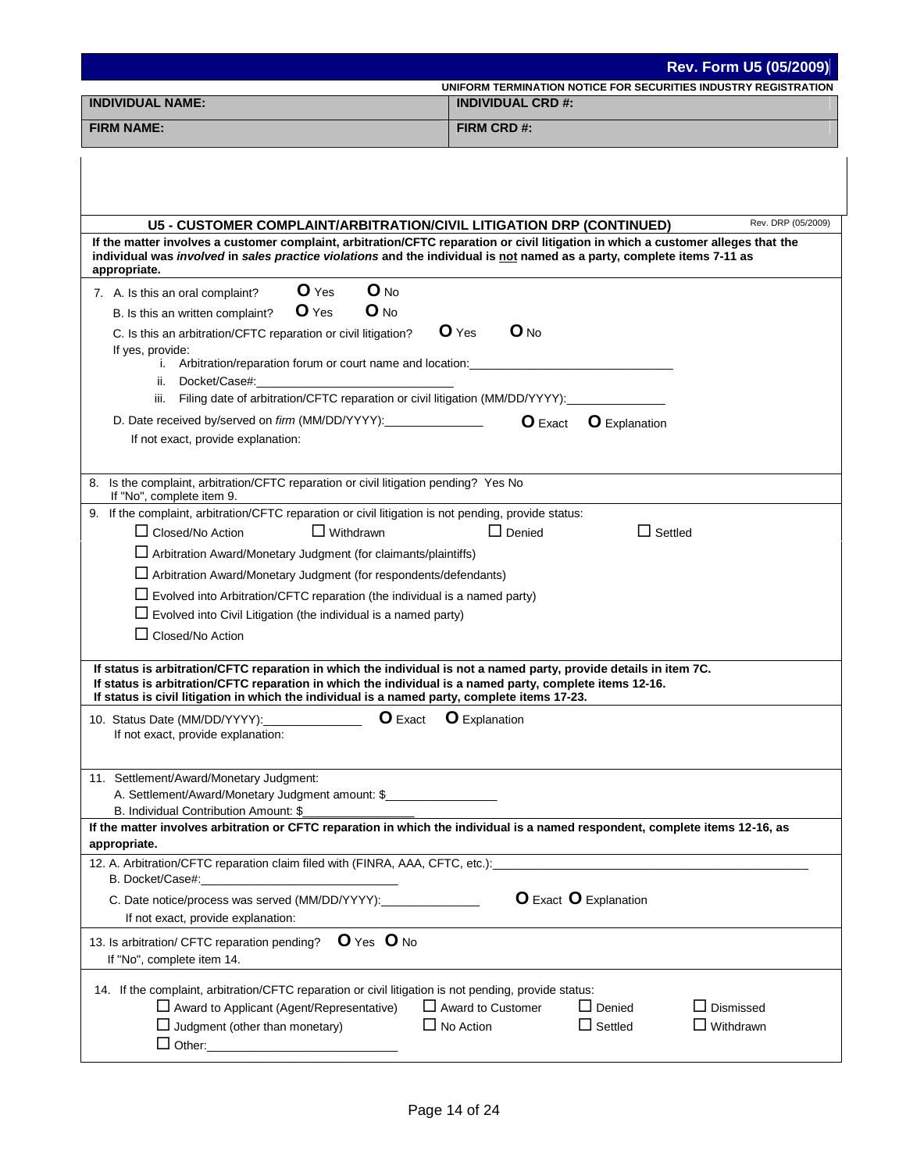|                                                                                                                                                                                                                                                                                                                                 | <b>Rev. Form U5 (05/2009)</b>                                   |
|---------------------------------------------------------------------------------------------------------------------------------------------------------------------------------------------------------------------------------------------------------------------------------------------------------------------------------|-----------------------------------------------------------------|
|                                                                                                                                                                                                                                                                                                                                 | UNIFORM TERMINATION NOTICE FOR SECURITIES INDUSTRY REGISTRATION |
| <b>INDIVIDUAL NAME:</b><br><b>INDIVIDUAL CRD #:</b>                                                                                                                                                                                                                                                                             |                                                                 |
| <b>FIRM NAME:</b>                                                                                                                                                                                                                                                                                                               | FIRM CRD#:                                                      |
|                                                                                                                                                                                                                                                                                                                                 |                                                                 |
|                                                                                                                                                                                                                                                                                                                                 |                                                                 |
|                                                                                                                                                                                                                                                                                                                                 |                                                                 |
|                                                                                                                                                                                                                                                                                                                                 | Rev. DRP (05/2009)                                              |
| U5 - CUSTOMER COMPLAINT/ARBITRATION/CIVIL LITIGATION DRP (CONTINUED)<br>If the matter involves a customer complaint, arbitration/CFTC reparation or civil litigation in which a customer alleges that the                                                                                                                       |                                                                 |
| individual was involved in sales practice violations and the individual is not named as a party, complete items 7-11 as<br>appropriate.                                                                                                                                                                                         |                                                                 |
| O Yes<br>$O_{NQ}$<br>7. A. Is this an oral complaint?                                                                                                                                                                                                                                                                           |                                                                 |
| O Yes<br>$O_{NQ}$<br>B. Is this an written complaint?                                                                                                                                                                                                                                                                           |                                                                 |
| C. Is this an arbitration/CFTC reparation or civil litigation?                                                                                                                                                                                                                                                                  | O Yes<br>$O_{NQ}$                                               |
| If yes, provide:                                                                                                                                                                                                                                                                                                                |                                                                 |
| i. Arbitration/reparation forum or court name and location:                                                                                                                                                                                                                                                                     |                                                                 |
| ii. Docket/Case#:<br>iii. Filing date of arbitration/CFTC reparation or civil litigation (MM/DD/YYYY):                                                                                                                                                                                                                          |                                                                 |
| D. Date received by/served on <i>firm</i> (MM/DD/YYYY):                                                                                                                                                                                                                                                                         |                                                                 |
| If not exact, provide explanation:                                                                                                                                                                                                                                                                                              | O Exact<br><b>O</b> Explanation                                 |
|                                                                                                                                                                                                                                                                                                                                 |                                                                 |
| Is the complaint, arbitration/CFTC reparation or civil litigation pending? Yes No<br>8.<br>If "No", complete item 9.                                                                                                                                                                                                            |                                                                 |
| 9. If the complaint, arbitration/CFTC reparation or civil litigation is not pending, provide status:                                                                                                                                                                                                                            |                                                                 |
| $\Box$ Withdrawn<br>$\Box$ Closed/No Action                                                                                                                                                                                                                                                                                     | $\Box$ Settled<br>$\Box$ Denied                                 |
| Arbitration Award/Monetary Judgment (for claimants/plaintiffs)                                                                                                                                                                                                                                                                  |                                                                 |
| Arbitration Award/Monetary Judgment (for respondents/defendants)                                                                                                                                                                                                                                                                |                                                                 |
| $\Box$ Evolved into Arbitration/CFTC reparation (the individual is a named party)                                                                                                                                                                                                                                               |                                                                 |
| $\Box$ Evolved into Civil Litigation (the individual is a named party)                                                                                                                                                                                                                                                          |                                                                 |
| $\Box$ Closed/No Action                                                                                                                                                                                                                                                                                                         |                                                                 |
|                                                                                                                                                                                                                                                                                                                                 |                                                                 |
| If status is arbitration/CFTC reparation in which the individual is not a named party, provide details in item 7C.<br>If status is arbitration/CFTC reparation in which the individual is a named party, complete items 12-16.<br>If status is civil litigation in which the individual is a named party, complete items 17-23. |                                                                 |
| 10. Status Date (MM/DD/YYYY):_________________                                                                                                                                                                                                                                                                                  | <b>O</b> Exact <b>O</b> Explanation                             |
| If not exact, provide explanation:                                                                                                                                                                                                                                                                                              |                                                                 |
|                                                                                                                                                                                                                                                                                                                                 |                                                                 |
| 11. Settlement/Award/Monetary Judgment:                                                                                                                                                                                                                                                                                         |                                                                 |
| A. Settlement/Award/Monetary Judgment amount: \$                                                                                                                                                                                                                                                                                |                                                                 |
| B. Individual Contribution Amount: \$                                                                                                                                                                                                                                                                                           |                                                                 |
| If the matter involves arbitration or CFTC reparation in which the individual is a named respondent, complete items 12-16, as<br>appropriate.                                                                                                                                                                                   |                                                                 |
| 12. A. Arbitration/CFTC reparation claim filed with (FINRA, AAA, CFTC, etc.):<br>B. Docket/Case#:                                                                                                                                                                                                                               |                                                                 |
| C. Date notice/process was served (MM/DD/YYYY):<br>If not exact, provide explanation:                                                                                                                                                                                                                                           | <b>O</b> Exact <b>O</b> Explanation                             |
| O Yes O No                                                                                                                                                                                                                                                                                                                      |                                                                 |
| 13. Is arbitration/ CFTC reparation pending?<br>If "No", complete item 14.                                                                                                                                                                                                                                                      |                                                                 |
| 14. If the complaint, arbitration/CFTC reparation or civil litigation is not pending, provide status:                                                                                                                                                                                                                           |                                                                 |
| $\Box$ Award to Applicant (Agent/Representative)                                                                                                                                                                                                                                                                                | $\Box$ Denied<br>$\Box$ Dismissed<br>$\Box$ Award to Customer   |
| $\Box$ Judgment (other than monetary)                                                                                                                                                                                                                                                                                           | $\Box$ Settled<br>$\Box$ No Action<br>$\Box$ Withdrawn          |
|                                                                                                                                                                                                                                                                                                                                 |                                                                 |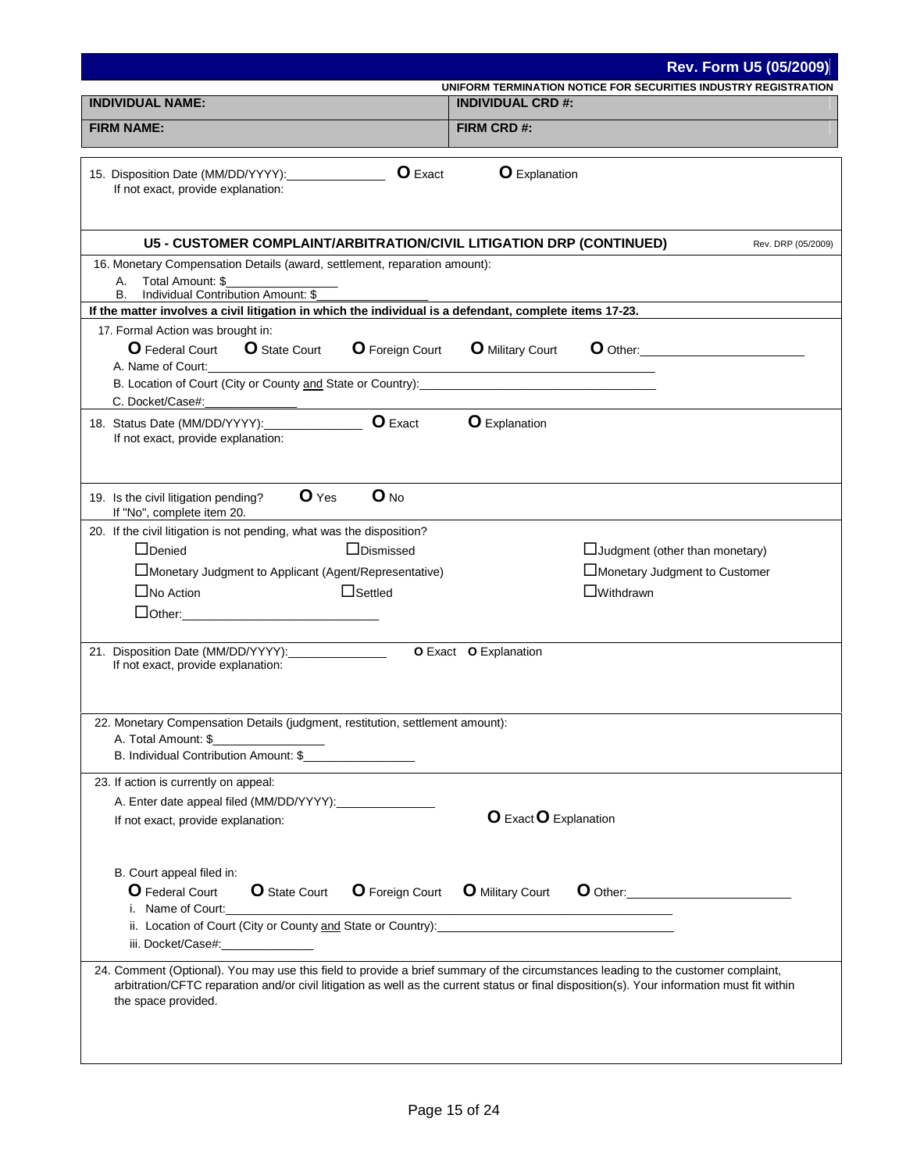|                                                                                                                                                                          | Rev. Form U5 (05/2009)                                                                                                                                                                                                                                    |
|--------------------------------------------------------------------------------------------------------------------------------------------------------------------------|-----------------------------------------------------------------------------------------------------------------------------------------------------------------------------------------------------------------------------------------------------------|
| <b>INDIVIDUAL NAME:</b>                                                                                                                                                  | UNIFORM TERMINATION NOTICE FOR SECURITIES INDUSTRY REGISTRATION<br><b>INDIVIDUAL CRD #:</b>                                                                                                                                                               |
| <b>FIRM NAME:</b>                                                                                                                                                        |                                                                                                                                                                                                                                                           |
|                                                                                                                                                                          | FIRM CRD#:                                                                                                                                                                                                                                                |
| <b>O</b> Exact<br>15. Disposition Date (MM/DD/YYYY):<br>If not exact, provide explanation:                                                                               | <b>O</b> Explanation                                                                                                                                                                                                                                      |
| U5 - CUSTOMER COMPLAINT/ARBITRATION/CIVIL LITIGATION DRP (CONTINUED)                                                                                                     | Rev. DRP (05/2009)                                                                                                                                                                                                                                        |
| 16. Monetary Compensation Details (award, settlement, reparation amount):<br>Total Amount: \$<br>А.<br>Individual Contribution Amount: \$<br>В.                          |                                                                                                                                                                                                                                                           |
| If the matter involves a civil litigation in which the individual is a defendant, complete items 17-23.                                                                  |                                                                                                                                                                                                                                                           |
| 17. Formal Action was brought in:<br><b>O</b> Federal Court<br><b>O</b> State Court<br><b>O</b> Foreign Court<br>A. Name of Court:                                       | <b>O</b> Military Court<br>$\bullet$ Other:                                                                                                                                                                                                               |
| C. Docket/Case#:                                                                                                                                                         |                                                                                                                                                                                                                                                           |
| <b>O</b> Exact<br>18. Status Date (MM/DD/YYYY):<br>If not exact, provide explanation:                                                                                    | <b>O</b> Explanation                                                                                                                                                                                                                                      |
| O Yes<br>$O$ <sub>No</sub><br>19. Is the civil litigation pending?<br>If "No", complete item 20.                                                                         |                                                                                                                                                                                                                                                           |
| 20. If the civil litigation is not pending, what was the disposition?                                                                                                    |                                                                                                                                                                                                                                                           |
| □Dismissed<br>$\Box$ Denied                                                                                                                                              | $\Box$ Judgment (other than monetary)                                                                                                                                                                                                                     |
| Monetary Judgment to Applicant (Agent/Representative)                                                                                                                    | □Monetary Judgment to Customer                                                                                                                                                                                                                            |
| $\Box$ No Action<br>$\Box$ Settled                                                                                                                                       | $\square$ Withdrawn                                                                                                                                                                                                                                       |
| <u>Dother: __________________________</u>                                                                                                                                |                                                                                                                                                                                                                                                           |
| 21. Disposition Date (MM/DD/YYYY): ________________<br>If not exact, provide explanation:                                                                                | O Exact O Explanation                                                                                                                                                                                                                                     |
| 22. Monetary Compensation Details (judgment, restitution, settlement amount):<br>A. Total Amount: \$<br>B. Individual Contribution Amount: \$__________________          |                                                                                                                                                                                                                                                           |
| 23. If action is currently on appeal:<br>If not exact, provide explanation:                                                                                              | O Exact O Explanation                                                                                                                                                                                                                                     |
| B. Court appeal filed in:<br>O Federal Court<br><b>O</b> State Court<br><b>O</b> Foreign Court<br>i. Name of Court:<br>iii. Docket/Case#:<br><u> 1989 - Alban Stores</u> | <b>O</b> Military Court<br>O Other: New York District of the United States of the United States of the United States of the United States of the United States of the United States of the United States of the United States of the United States of the |
| 24. Comment (Optional). You may use this field to provide a brief summary of the circumstances leading to the customer complaint,<br>the space provided.                 | arbitration/CFTC reparation and/or civil litigation as well as the current status or final disposition(s). Your information must fit within                                                                                                               |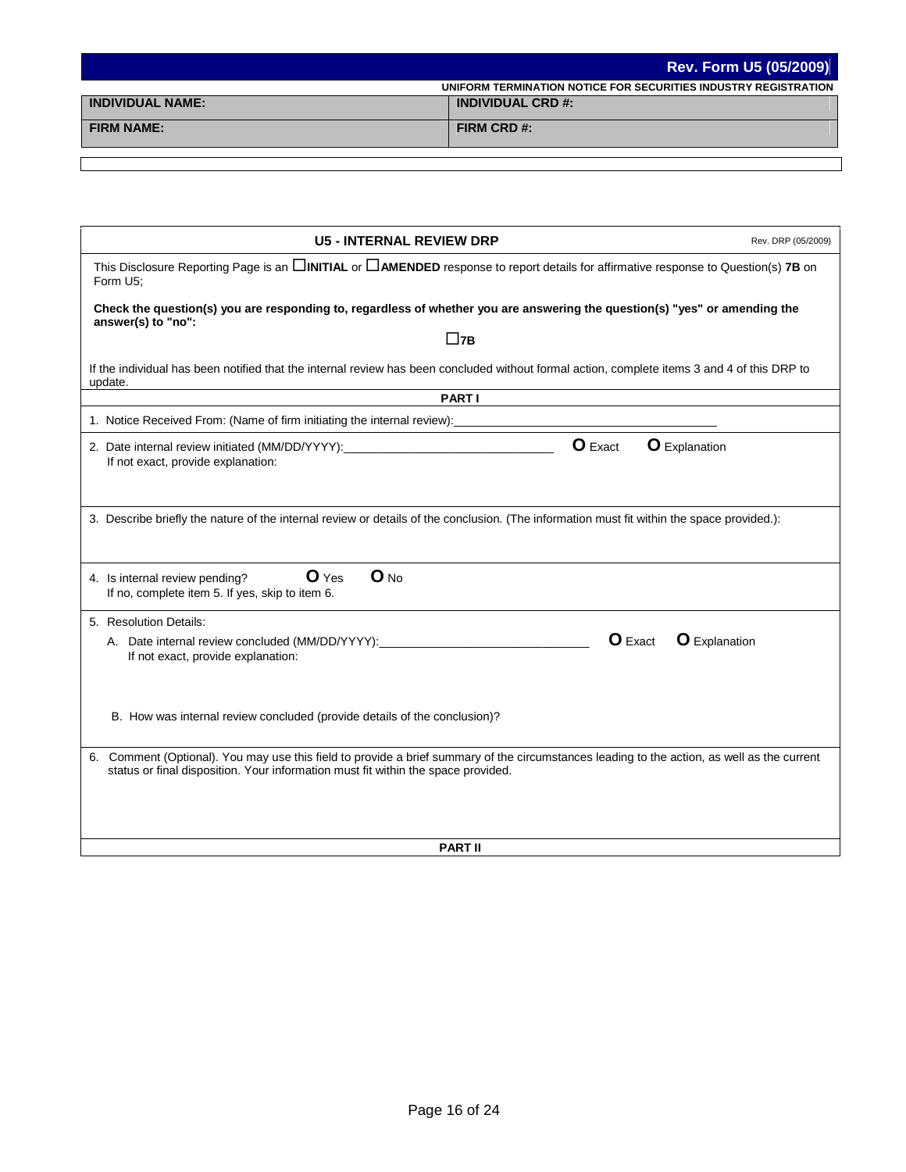|                         | Rev. Form U5 (05/2009)                                          |
|-------------------------|-----------------------------------------------------------------|
|                         | UNIFORM TERMINATION NOTICE FOR SECURITIES INDUSTRY REGISTRATION |
| <b>INDIVIDUAL NAME:</b> | <b>INDIVIDUAL CRD #:</b>                                        |
| <b>FIRM NAME:</b>       | FIRM CRD #:                                                     |

| <b>U5 - INTERNAL REVIEW DRP</b>                                                                                                                                                                                                  | Rev. DRP (05/2009)   |  |
|----------------------------------------------------------------------------------------------------------------------------------------------------------------------------------------------------------------------------------|----------------------|--|
| This Disclosure Reporting Page is an $\Box$ INITIAL or $\Box$ AMENDED response to report details for affirmative response to Question(s) 7B on<br>Form U5;                                                                       |                      |  |
| Check the question(s) you are responding to, regardless of whether you are answering the question(s) "yes" or amending the<br>answer(s) to "no":                                                                                 |                      |  |
| $\square$ 7В                                                                                                                                                                                                                     |                      |  |
| If the individual has been notified that the internal review has been concluded without formal action, complete items 3 and 4 of this DRP to<br>update.                                                                          |                      |  |
| <b>PARTI</b>                                                                                                                                                                                                                     |                      |  |
| 1. Notice Received From: (Name of firm initiating the internal review):                                                                                                                                                          |                      |  |
| O Exact<br><b>O</b> Explanation<br>If not exact, provide explanation:                                                                                                                                                            |                      |  |
| 3. Describe briefly the nature of the internal review or details of the conclusion. (The information must fit within the space provided.):                                                                                       |                      |  |
| $O$ <sub>No</sub><br>O Yes<br>4. Is internal review pending?<br>If no, complete item 5. If yes, skip to item 6.                                                                                                                  |                      |  |
| 5. Resolution Details:                                                                                                                                                                                                           |                      |  |
| $O$ Exact<br>If not exact, provide explanation:                                                                                                                                                                                  | <b>O</b> Explanation |  |
| B. How was internal review concluded (provide details of the conclusion)?                                                                                                                                                        |                      |  |
| 6. Comment (Optional). You may use this field to provide a brief summary of the circumstances leading to the action, as well as the current<br>status or final disposition. Your information must fit within the space provided. |                      |  |
|                                                                                                                                                                                                                                  |                      |  |
| <b>PART II</b>                                                                                                                                                                                                                   |                      |  |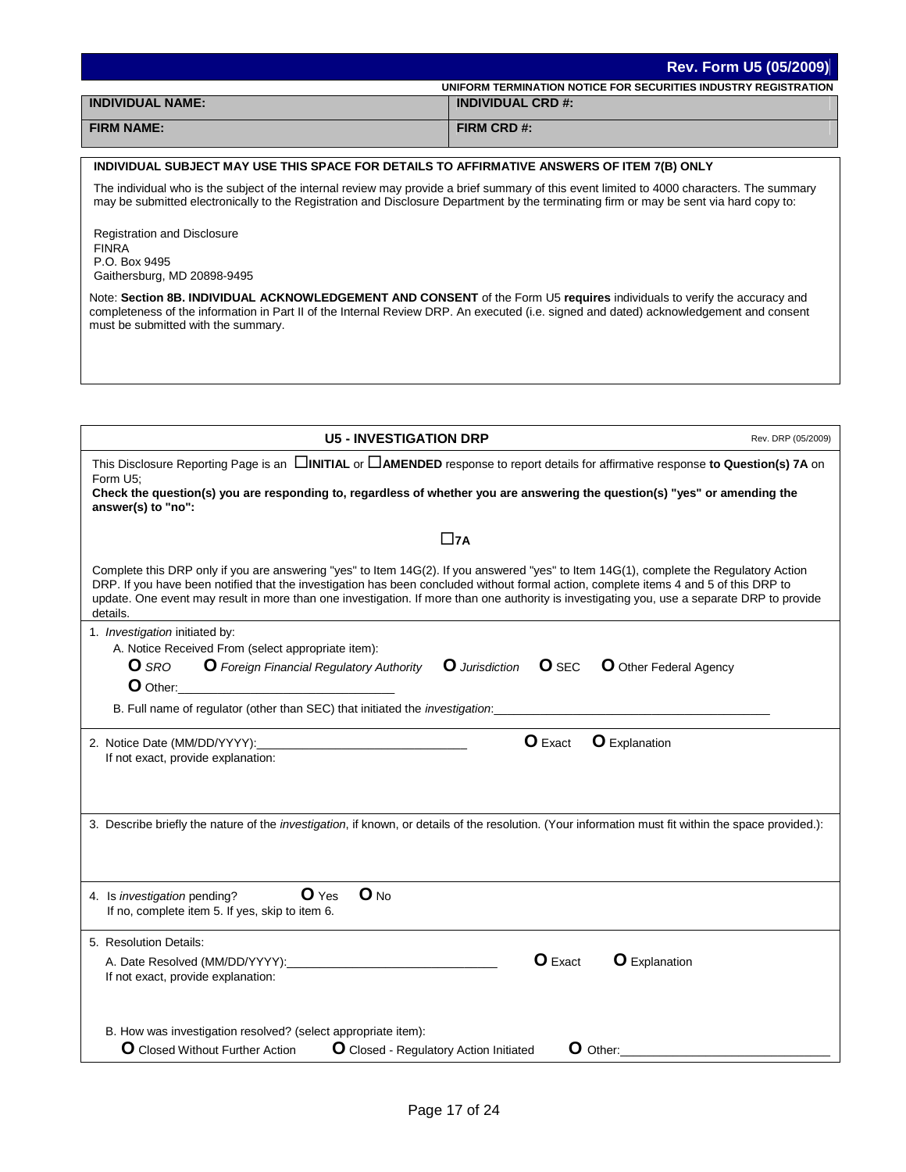|                         | <b>Rev. Form U5 (05/2009)</b>                                   |
|-------------------------|-----------------------------------------------------------------|
|                         | UNIFORM TERMINATION NOTICE FOR SECURITIES INDUSTRY REGISTRATION |
| <b>INDIVIDUAL NAME:</b> | <b>INDIVIDUAL CRD #:</b>                                        |
| <b>FIRM NAME:</b>       | FIRM CRD #:                                                     |
|                         |                                                                 |

## **INDIVIDUAL SUBJECT MAY USE THIS SPACE FOR DETAILS TO AFFIRMATIVE ANSWERS OF ITEM 7(B) ONLY**

The individual who is the subject of the internal review may provide a brief summary of this event limited to 4000 characters. The summary may be submitted electronically to the Registration and Disclosure Department by the terminating firm or may be sent via hard copy to:

Registration and Disclosure FINRA P.O. Box 9495 Gaithersburg, MD 20898-9495

Note: **Section 8B. INDIVIDUAL ACKNOWLEDGEMENT AND CONSENT** of the Form U5 **requires** individuals to verify the accuracy and completeness of the information in Part II of the Internal Review DRP. An executed (i.e. signed and dated) acknowledgement and consent must be submitted with the summary.

| <b>U5 - INVESTIGATION DRP</b>                                                                                                                                                                                                                                                                                                                                                                                                              | Rev. DRP (05/2009) |
|--------------------------------------------------------------------------------------------------------------------------------------------------------------------------------------------------------------------------------------------------------------------------------------------------------------------------------------------------------------------------------------------------------------------------------------------|--------------------|
| This Disclosure Reporting Page is an $\Box$ INITIAL or $\Box$ AMENDED response to report details for affirmative response to Question(s) 7A on<br>Form U5;<br>Check the question(s) you are responding to, regardless of whether you are answering the question(s) "yes" or amending the<br>answer(s) to "no":                                                                                                                             |                    |
| $\square$ 7A                                                                                                                                                                                                                                                                                                                                                                                                                               |                    |
| Complete this DRP only if you are answering "yes" to Item 14G(2). If you answered "yes" to Item 14G(1), complete the Regulatory Action<br>DRP. If you have been notified that the investigation has been concluded without formal action, complete items 4 and 5 of this DRP to<br>update. One event may result in more than one investigation. If more than one authority is investigating you, use a separate DRP to provide<br>details. |                    |
| 1. Investigation initiated by:                                                                                                                                                                                                                                                                                                                                                                                                             |                    |
| A. Notice Received From (select appropriate item):<br><b>O</b> Foreign Financial Regulatory Authority<br><b>O</b> SRO<br>$O$ SEC<br><b>O</b> Other Federal Agency<br><b>Q</b> Jurisdiction                                                                                                                                                                                                                                                 |                    |
| O Other:                                                                                                                                                                                                                                                                                                                                                                                                                                   |                    |
| B. Full name of regulator (other than SEC) that initiated the <i>investigation</i> :                                                                                                                                                                                                                                                                                                                                                       |                    |
| <b>O</b> Exact<br><b>O</b> Explanation<br>2. Notice Date (MM/DD/YYYY):<br>If not exact, provide explanation:                                                                                                                                                                                                                                                                                                                               |                    |
| 3. Describe briefly the nature of the investigation, if known, or details of the resolution. (Your information must fit within the space provided.):                                                                                                                                                                                                                                                                                       |                    |
| $O$ <sub>No</sub><br>$\mathbf{O}$ Yes<br>4. Is investigation pending?<br>If no, complete item 5. If yes, skip to item 6.                                                                                                                                                                                                                                                                                                                   |                    |
| 5. Resolution Details:                                                                                                                                                                                                                                                                                                                                                                                                                     |                    |
| <b>O</b> Exact<br><b>O</b> Explanation<br>A. Date Resolved (MM/DD/YYYY):<br>If not exact, provide explanation:                                                                                                                                                                                                                                                                                                                             |                    |
| B. How was investigation resolved? (select appropriate item):<br><b>O</b> Closed Without Further Action<br><b>O</b> Closed - Regulatory Action Initiated<br><b>O</b> Other:                                                                                                                                                                                                                                                                |                    |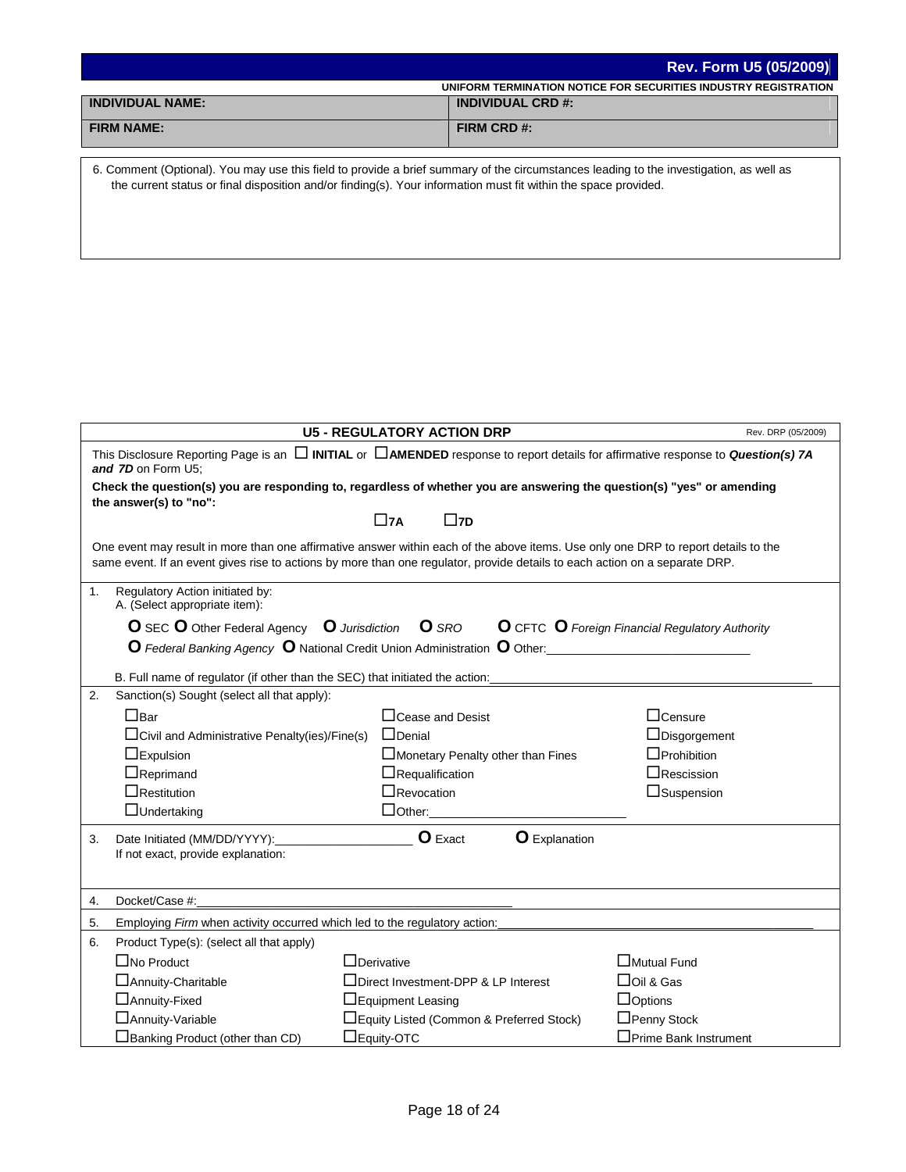|                         | <b>Rev. Form U5 (05/2009)</b>                                   |
|-------------------------|-----------------------------------------------------------------|
|                         | UNIFORM TERMINATION NOTICE FOR SECURITIES INDUSTRY REGISTRATION |
| <b>INDIVIDUAL NAME:</b> | <b>INDIVIDUAL CRD #:</b>                                        |
| <b>FIRM NAME:</b>       | FIRM CRD #:                                                     |

6. Comment (Optional). You may use this field to provide a brief summary of the circumstances leading to the investigation, as well as the current status or final disposition and/or finding(s). Your information must fit within the space provided.

|    |                                                                                                                                                                   | <b>U5 - REGULATORY ACTION DRP</b>                                                                                                                                                                                                                                 | Rev. DRP (05/2009)                                            |  |  |
|----|-------------------------------------------------------------------------------------------------------------------------------------------------------------------|-------------------------------------------------------------------------------------------------------------------------------------------------------------------------------------------------------------------------------------------------------------------|---------------------------------------------------------------|--|--|
|    | This Disclosure Reporting Page is an $\Box$ INITIAL or $\Box$ AMENDED response to report details for affirmative response to Question(s) 7A<br>and 7D on Form U5: |                                                                                                                                                                                                                                                                   |                                                               |  |  |
|    | the answer(s) to "no":                                                                                                                                            | Check the question(s) you are responding to, regardless of whether you are answering the question(s) "yes" or amending                                                                                                                                            |                                                               |  |  |
|    |                                                                                                                                                                   | $\square$ 7A<br>$\square$ 7D                                                                                                                                                                                                                                      |                                                               |  |  |
|    |                                                                                                                                                                   | One event may result in more than one affirmative answer within each of the above items. Use only one DRP to report details to the<br>same event. If an event gives rise to actions by more than one regulator, provide details to each action on a separate DRP. |                                                               |  |  |
| 1. | Regulatory Action initiated by:<br>A. (Select appropriate item):                                                                                                  |                                                                                                                                                                                                                                                                   |                                                               |  |  |
|    | O SEC O Other Federal Agency O Jurisdiction                                                                                                                       | <b>O</b> SRO                                                                                                                                                                                                                                                      | <b>O</b> CFTC <b>O</b> Foreign Financial Regulatory Authority |  |  |
|    |                                                                                                                                                                   | O Federal Banking Agency O National Credit Union Administration O Other:<br><u>O Federal Banking Agency O National Credit Union Administration</u> O Other:                                                                                                       |                                                               |  |  |
|    | B. Full name of regulator (if other than the SEC) that initiated the action:                                                                                      |                                                                                                                                                                                                                                                                   |                                                               |  |  |
| 2. | Sanction(s) Sought (select all that apply):                                                                                                                       |                                                                                                                                                                                                                                                                   |                                                               |  |  |
|    | $\Box$ Bar                                                                                                                                                        | $\Box$ Cease and Desist                                                                                                                                                                                                                                           | $\Box$ Censure                                                |  |  |
|    | $\Box$ Civil and Administrative Penalty(ies)/Fine(s)                                                                                                              | $\Box$ Denial                                                                                                                                                                                                                                                     | $\Box$ Disgorgement                                           |  |  |
|    | $\Box$ Expulsion                                                                                                                                                  | Monetary Penalty other than Fines                                                                                                                                                                                                                                 | $\Box$ Prohibition                                            |  |  |
|    | $\Box$ Reprimand                                                                                                                                                  | $\Box$ Requalification                                                                                                                                                                                                                                            | $\Box$ Rescission                                             |  |  |
|    | $\Box$ Restitution                                                                                                                                                | $\Box$ Revocation                                                                                                                                                                                                                                                 | $\Box$ Suspension                                             |  |  |
|    | $\Box$ Undertaking                                                                                                                                                | $\Box$ Other:                                                                                                                                                                                                                                                     |                                                               |  |  |
| 3. | Date Initiated (MM/DD/YYYY):<br>If not exact, provide explanation:                                                                                                | <b>O</b> Exact<br><b>O</b> Explanation                                                                                                                                                                                                                            |                                                               |  |  |
| 4. | Docket/Case #:                                                                                                                                                    |                                                                                                                                                                                                                                                                   |                                                               |  |  |
| 5. | Employing Firm when activity occurred which led to the regulatory action:                                                                                         |                                                                                                                                                                                                                                                                   |                                                               |  |  |
| 6. | Product Type(s): (select all that apply)                                                                                                                          |                                                                                                                                                                                                                                                                   |                                                               |  |  |
|    | $\Box$ No Product                                                                                                                                                 | $\Box$ Derivative                                                                                                                                                                                                                                                 | Mutual Fund                                                   |  |  |
|    | □ Annuity-Charitable                                                                                                                                              | □Direct Investment-DPP & LP Interest                                                                                                                                                                                                                              | $\Box$ Oil & Gas                                              |  |  |
|    | □ Annuity-Fixed                                                                                                                                                   | $\Box$ Equipment Leasing                                                                                                                                                                                                                                          | $\Box$ Options                                                |  |  |
|    | □ Annuity-Variable                                                                                                                                                | □Equity Listed (Common & Preferred Stock)                                                                                                                                                                                                                         | □Penny Stock                                                  |  |  |
|    | $\Box$ Banking Product (other than CD)                                                                                                                            | $\Box$ Equity-OTC                                                                                                                                                                                                                                                 | □Prime Bank Instrument                                        |  |  |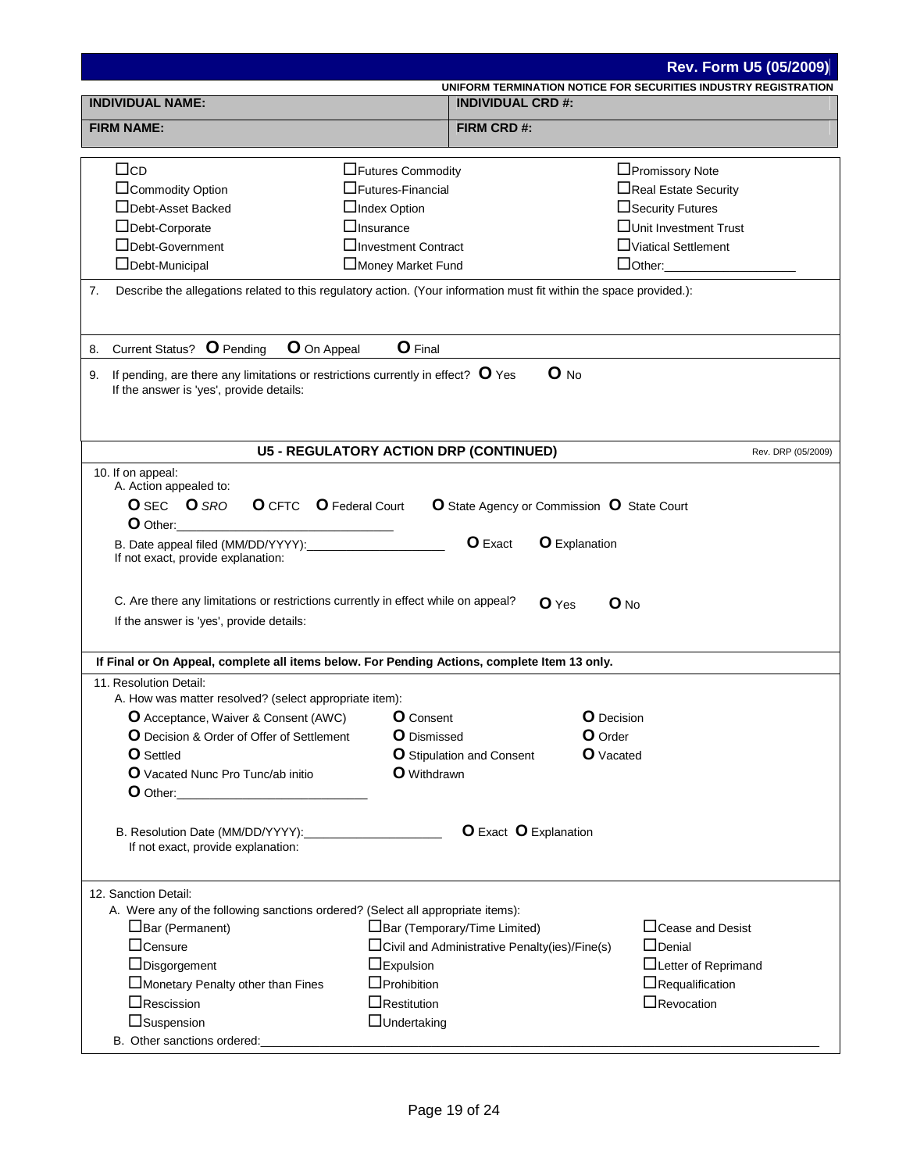|                                                                                                                           |                                                     |                                                | <b>Rev. Form U5 (05/2009)</b>                                   |  |
|---------------------------------------------------------------------------------------------------------------------------|-----------------------------------------------------|------------------------------------------------|-----------------------------------------------------------------|--|
|                                                                                                                           |                                                     |                                                | UNIFORM TERMINATION NOTICE FOR SECURITIES INDUSTRY REGISTRATION |  |
|                                                                                                                           | <b>INDIVIDUAL NAME:</b><br><b>INDIVIDUAL CRD #:</b> |                                                |                                                                 |  |
| <b>FIRM NAME:</b>                                                                                                         |                                                     | FIRM CRD#:                                     |                                                                 |  |
|                                                                                                                           |                                                     |                                                |                                                                 |  |
| $\Box$ cd                                                                                                                 | □Futures Commodity                                  |                                                | □Promissory Note                                                |  |
| □Commodity Option                                                                                                         | $\Box$ Futures-Financial                            |                                                | □Real Estate Security                                           |  |
| □Debt-Asset Backed                                                                                                        | □Index Option                                       |                                                | $\Box$ Security Futures                                         |  |
| □Debt-Corporate                                                                                                           | $\Box$ Insurance                                    |                                                | □Unit Investment Trust                                          |  |
| □Debt-Government                                                                                                          | <b>∃Investment Contract</b>                         |                                                | □Viatical Settlement                                            |  |
| $\Box$ Debt-Municipal                                                                                                     | Money Market Fund                                   |                                                | $\Box$ Other:                                                   |  |
| 7.<br>Describe the allegations related to this regulatory action. (Your information must fit within the space provided.): |                                                     |                                                |                                                                 |  |
| <b>O</b> Pending<br>8. Current Status?                                                                                    | O Final                                             |                                                |                                                                 |  |
| O On Appeal                                                                                                               |                                                     |                                                |                                                                 |  |
| If pending, are there any limitations or restrictions currently in effect? $\bullet$ Yes<br>9.                            |                                                     | $O$ No                                         |                                                                 |  |
| If the answer is 'yes', provide details:                                                                                  |                                                     |                                                |                                                                 |  |
|                                                                                                                           |                                                     |                                                |                                                                 |  |
|                                                                                                                           |                                                     | <b>U5 - REGULATORY ACTION DRP (CONTINUED)</b>  | Rev. DRP (05/2009)                                              |  |
| 10. If on appeal:                                                                                                         |                                                     |                                                |                                                                 |  |
| A. Action appealed to:                                                                                                    |                                                     |                                                |                                                                 |  |
| <b>O</b> CFTC <b>O</b> Federal Court<br><b>O</b> SEC <b>O</b> SRO                                                         |                                                     | O State Agency or Commission O State Court     |                                                                 |  |
| <b>O</b> Other:                                                                                                           |                                                     |                                                |                                                                 |  |
| B. Date appeal filed (MM/DD/YYYY):                                                                                        |                                                     | <b>O</b> Exact<br><b>O</b> Explanation         |                                                                 |  |
| If not exact, provide explanation:                                                                                        |                                                     |                                                |                                                                 |  |
|                                                                                                                           |                                                     |                                                |                                                                 |  |
| C. Are there any limitations or restrictions currently in effect while on appeal?                                         |                                                     | <b>O</b> Yes                                   | $\mathbf 0$ No                                                  |  |
| If the answer is 'yes', provide details:                                                                                  |                                                     |                                                |                                                                 |  |
|                                                                                                                           |                                                     |                                                |                                                                 |  |
| If Final or On Appeal, complete all items below. For Pending Actions, complete Item 13 only.                              |                                                     |                                                |                                                                 |  |
| 11. Resolution Detail:                                                                                                    |                                                     |                                                |                                                                 |  |
| A. How was matter resolved? (select appropriate item):                                                                    |                                                     |                                                |                                                                 |  |
| <b>O</b> Acceptance, Waiver & Consent (AWC)                                                                               |                                                     | O Decision<br><b>O</b> Consent                 |                                                                 |  |
| <b>O</b> Decision & Order of Offer of Settlement<br><b>O</b> Settled                                                      | <b>O</b> Dismissed                                  | O Order<br><b>O</b> Vacated                    |                                                                 |  |
| O Vacated Nunc Pro Tunc/ab initio                                                                                         | <b>O</b> Withdrawn                                  | O Stipulation and Consent                      |                                                                 |  |
| $\bullet$ Other:                                                                                                          |                                                     |                                                |                                                                 |  |
|                                                                                                                           |                                                     |                                                |                                                                 |  |
|                                                                                                                           |                                                     |                                                |                                                                 |  |
| If not exact, provide explanation:                                                                                        |                                                     | <b>O</b> Exact <b>O</b> Explanation            |                                                                 |  |
|                                                                                                                           |                                                     |                                                |                                                                 |  |
|                                                                                                                           |                                                     |                                                |                                                                 |  |
| 12. Sanction Detail:                                                                                                      |                                                     |                                                |                                                                 |  |
| A. Were any of the following sanctions ordered? (Select all appropriate items):                                           |                                                     |                                                |                                                                 |  |
| $\Box$ Bar (Permanent)                                                                                                    |                                                     | □Bar (Temporary/Time Limited)                  | $\Box$ Cease and Desist                                         |  |
| $\Box$ Censure                                                                                                            |                                                     | □Civil and Administrative Penalty(ies)/Fine(s) | $\Box$ Denial                                                   |  |
| $\Box$ Disgorgement                                                                                                       | $\Box$ Expulsion                                    |                                                | □Letter of Reprimand                                            |  |
| Monetary Penalty other than Fines                                                                                         | $\Box$ Prohibition                                  |                                                | $\Box$ Requalification                                          |  |
| $\Box$ Rescission                                                                                                         | $\Box$ Revocation<br>$\Box$ Restitution             |                                                |                                                                 |  |
| $\Box$ Suspension                                                                                                         | $\Box$ Undertaking                                  |                                                |                                                                 |  |
| B. Other sanctions ordered:                                                                                               |                                                     |                                                |                                                                 |  |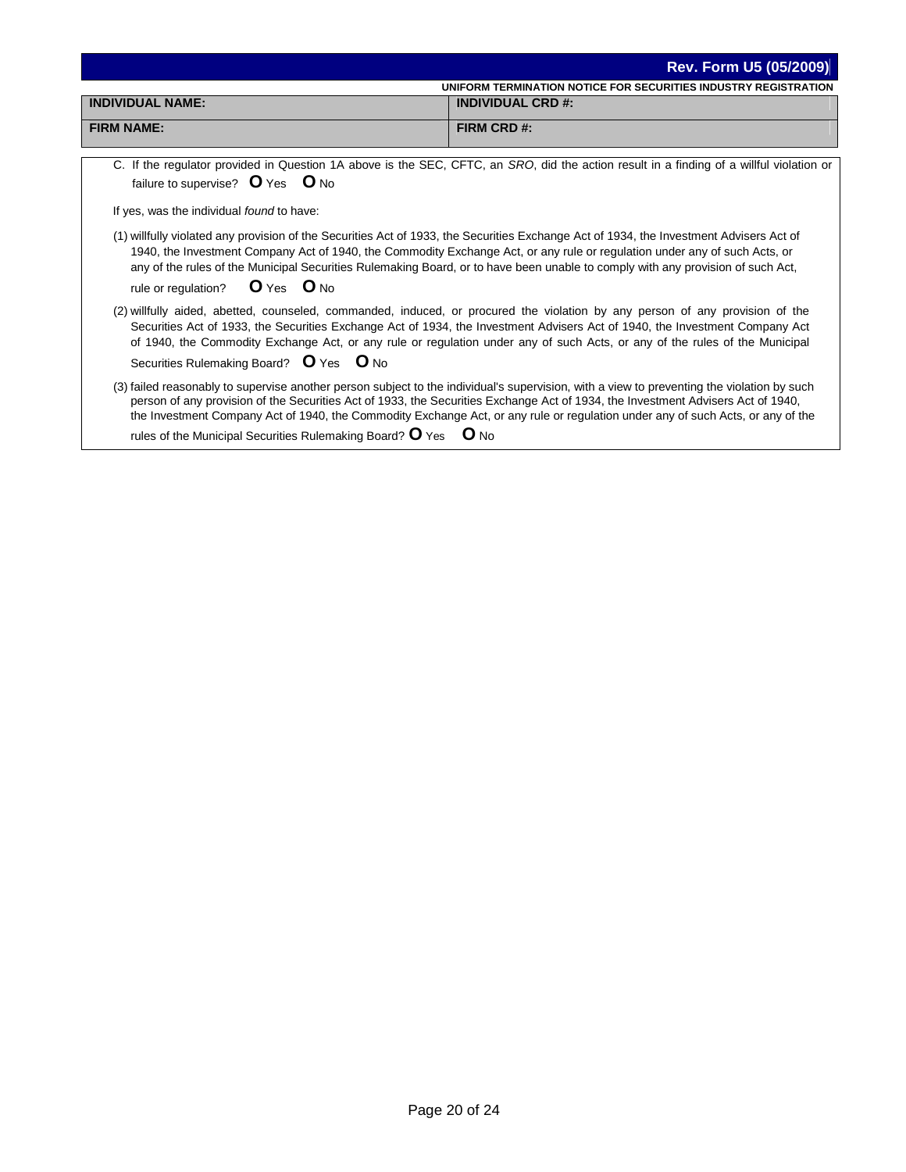|                                                                                      | <b>Rev. Form U5 (05/2009)</b>                                                                                                                                                                                                                                                                                                                                                                                     |  |  |  |  |
|--------------------------------------------------------------------------------------|-------------------------------------------------------------------------------------------------------------------------------------------------------------------------------------------------------------------------------------------------------------------------------------------------------------------------------------------------------------------------------------------------------------------|--|--|--|--|
| UNIFORM TERMINATION NOTICE FOR SECURITIES INDUSTRY REGISTRATION                      |                                                                                                                                                                                                                                                                                                                                                                                                                   |  |  |  |  |
| <b>INDIVIDUAL NAME:</b>                                                              | <b>INDIVIDUAL CRD #:</b>                                                                                                                                                                                                                                                                                                                                                                                          |  |  |  |  |
| <b>FIRM NAME:</b>                                                                    | FIRM CRD #:                                                                                                                                                                                                                                                                                                                                                                                                       |  |  |  |  |
| failure to supervise? O Yes O No<br>If yes, was the individual found to have:        | C. If the regulator provided in Question 1A above is the SEC, CFTC, an SRO, did the action result in a finding of a willful violation or<br>(1) willfully violated any provision of the Securities Act of 1933, the Securities Exchange Act of 1934, the Investment Advisers Act of<br>1940, the Investment Company Act of 1940, the Commodity Exchange Act, or any rule or regulation under any of such Acts, or |  |  |  |  |
| rule or regulation? O Yes O No                                                       | any of the rules of the Municipal Securities Rulemaking Board, or to have been unable to comply with any provision of such Act,                                                                                                                                                                                                                                                                                   |  |  |  |  |
| Securities Rulemaking Board? O Yes O No                                              | (2) willfully aided, abetted, counseled, commanded, induced, or procured the violation by any person of any provision of the<br>Securities Act of 1933, the Securities Exchange Act of 1934, the Investment Advisers Act of 1940, the Investment Company Act<br>of 1940, the Commodity Exchange Act, or any rule or regulation under any of such Acts, or any of the rules of the Municipal                       |  |  |  |  |
| rules of the Municipal Securities Rulemaking Board? $\mathbf{O}$ Yes $\mathbf{O}$ No | (3) failed reasonably to supervise another person subject to the individual's supervision, with a view to preventing the violation by such<br>person of any provision of the Securities Act of 1933, the Securities Exchange Act of 1934, the Investment Advisers Act of 1940,<br>the Investment Company Act of 1940, the Commodity Exchange Act, or any rule or regulation under any of such Acts, or any of the |  |  |  |  |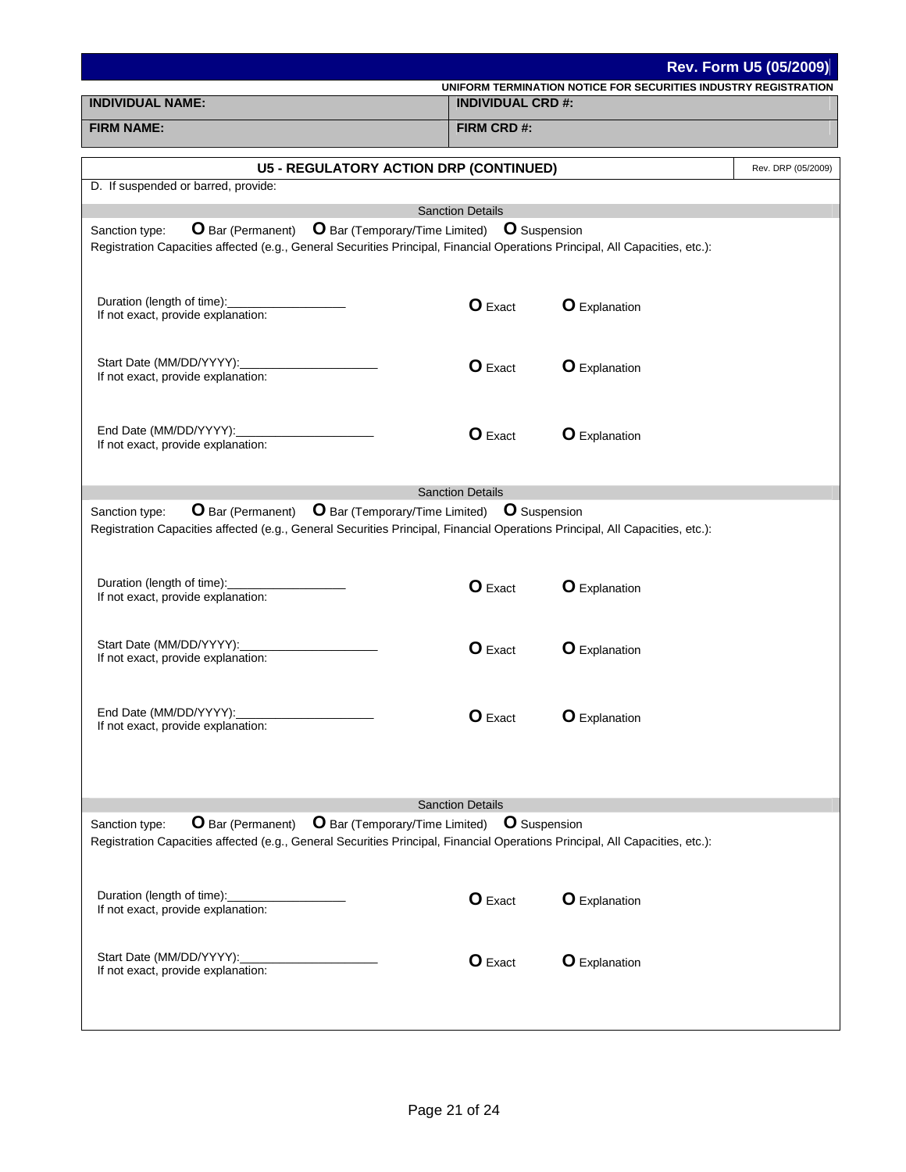|                                                                                                                                                                                                                                      |                          |                                                                 | Rev. Form U5 (05/2009) |  |
|--------------------------------------------------------------------------------------------------------------------------------------------------------------------------------------------------------------------------------------|--------------------------|-----------------------------------------------------------------|------------------------|--|
| <b>INDIVIDUAL NAME:</b>                                                                                                                                                                                                              | <b>INDIVIDUAL CRD #:</b> | UNIFORM TERMINATION NOTICE FOR SECURITIES INDUSTRY REGISTRATION |                        |  |
| <b>FIRM NAME:</b>                                                                                                                                                                                                                    | FIRM CRD #:              |                                                                 |                        |  |
|                                                                                                                                                                                                                                      |                          |                                                                 |                        |  |
| <b>U5 - REGULATORY ACTION DRP (CONTINUED)</b><br>D. If suspended or barred, provide:                                                                                                                                                 |                          |                                                                 | Rev. DRP (05/2009)     |  |
|                                                                                                                                                                                                                                      | <b>Sanction Details</b>  |                                                                 |                        |  |
| O Bar (Permanent) O Bar (Temporary/Time Limited) O Suspension<br>Sanction type:<br>Registration Capacities affected (e.g., General Securities Principal, Financial Operations Principal, All Capacities, etc.):                      |                          |                                                                 |                        |  |
| Duration (length of time):<br>If not exact, provide explanation:                                                                                                                                                                     | <b>O</b> Exact           | <b>O</b> Explanation                                            |                        |  |
| Start Date (MM/DD/YYYY):<br>If not exact, provide explanation:                                                                                                                                                                       | <b>O</b> Exact           | <b>O</b> Explanation                                            |                        |  |
| End Date (MM/DD/YYYY):<br>If not exact, provide explanation:                                                                                                                                                                         | <b>O</b> Exact           | <b>O</b> Explanation                                            |                        |  |
|                                                                                                                                                                                                                                      | <b>Sanction Details</b>  |                                                                 |                        |  |
| <b>O</b> Bar (Permanent) <b>O</b> Bar (Temporary/Time Limited) <b>O</b> Suspension<br>Sanction type:<br>Registration Capacities affected (e.g., General Securities Principal, Financial Operations Principal, All Capacities, etc.): |                          |                                                                 |                        |  |
| Duration (length of time):<br>If not exact, provide explanation:                                                                                                                                                                     | <b>O</b> Exact           | <b>O</b> Explanation                                            |                        |  |
| Start Date (MM/DD/YYYY):<br>If not exact, provide explanation:                                                                                                                                                                       | <b>O</b> Exact           | <b>O</b> Explanation                                            |                        |  |
| End Date (MM/DD/YYYY):<br>If not exact, provide explanation:                                                                                                                                                                         | O Exact                  | <b>O</b> Explanation                                            |                        |  |
| <b>O</b> Bar (Temporary/Time Limited)<br><b>O</b> Bar (Permanent)<br>Sanction type:                                                                                                                                                  | <b>Sanction Details</b>  | <b>O</b> Suspension                                             |                        |  |
| Registration Capacities affected (e.g., General Securities Principal, Financial Operations Principal, All Capacities, etc.):                                                                                                         |                          |                                                                 |                        |  |
| Duration (length of time):<br>If not exact, provide explanation:                                                                                                                                                                     | <b>O</b> Exact           | <b>O</b> Explanation                                            |                        |  |
| Start Date (MM/DD/YYYY):<br>If not exact, provide explanation:                                                                                                                                                                       | <b>O</b> Exact           | <b>O</b> Explanation                                            |                        |  |
|                                                                                                                                                                                                                                      |                          |                                                                 |                        |  |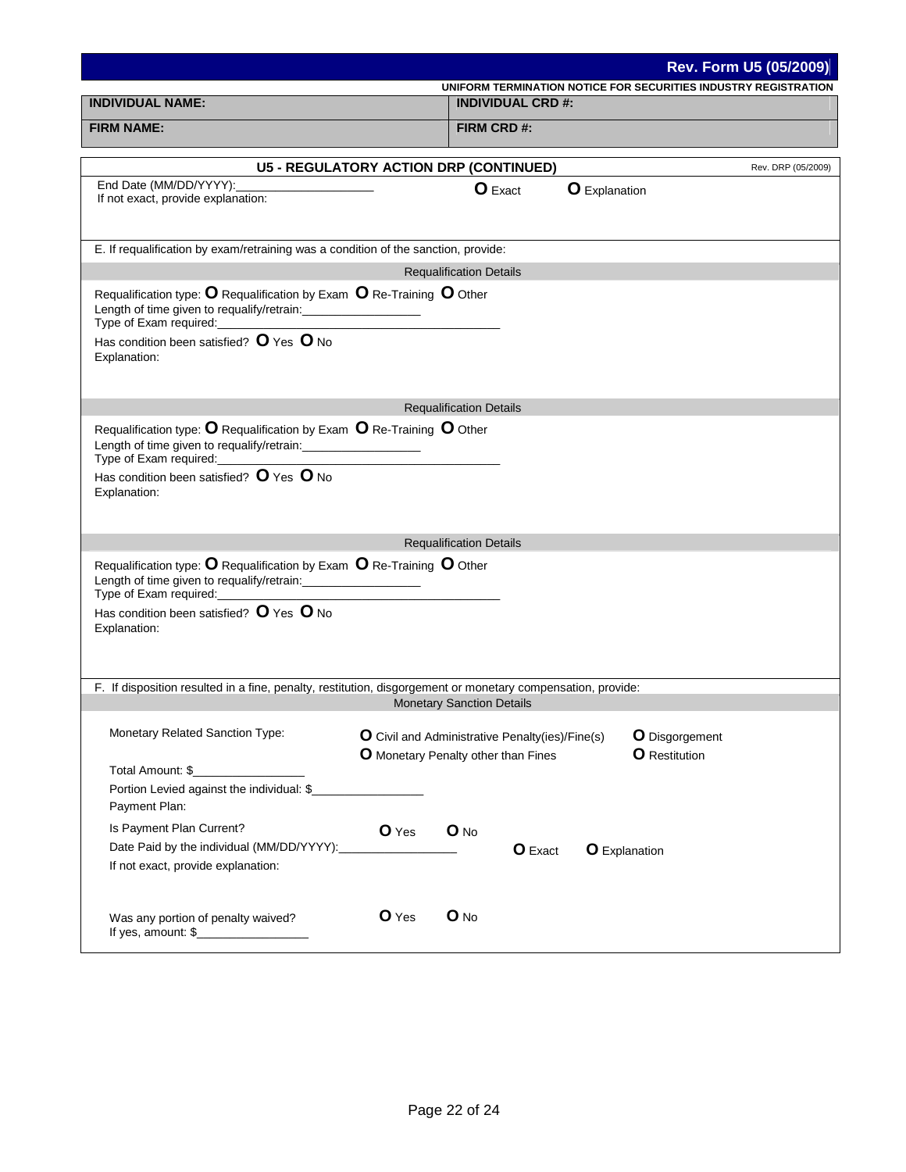|                                                                                                                                                                                                                                                                                                                                                                                         |                                     |                                  |                                                 |                      |                                        | <b>Rev. Form U5 (05/2009)</b>                                   |
|-----------------------------------------------------------------------------------------------------------------------------------------------------------------------------------------------------------------------------------------------------------------------------------------------------------------------------------------------------------------------------------------|-------------------------------------|----------------------------------|-------------------------------------------------|----------------------|----------------------------------------|-----------------------------------------------------------------|
|                                                                                                                                                                                                                                                                                                                                                                                         |                                     |                                  |                                                 |                      |                                        | UNIFORM TERMINATION NOTICE FOR SECURITIES INDUSTRY REGISTRATION |
| <b>INDIVIDUAL NAME:</b>                                                                                                                                                                                                                                                                                                                                                                 |                                     |                                  | <b>INDIVIDUAL CRD #:</b>                        |                      |                                        |                                                                 |
| <b>FIRM NAME:</b>                                                                                                                                                                                                                                                                                                                                                                       |                                     | FIRM CRD#:                       |                                                 |                      |                                        |                                                                 |
| <b>U5 - REGULATORY ACTION DRP (CONTINUED)</b>                                                                                                                                                                                                                                                                                                                                           |                                     |                                  |                                                 |                      |                                        | Rev. DRP (05/2009)                                              |
| End Date (MM/DD/YYYY):                                                                                                                                                                                                                                                                                                                                                                  |                                     |                                  |                                                 |                      |                                        |                                                                 |
| If not exact, provide explanation:                                                                                                                                                                                                                                                                                                                                                      |                                     |                                  | <b>O</b> Exact                                  | <b>O</b> Explanation |                                        |                                                                 |
| E. If requalification by exam/retraining was a condition of the sanction, provide:                                                                                                                                                                                                                                                                                                      |                                     |                                  |                                                 |                      |                                        |                                                                 |
|                                                                                                                                                                                                                                                                                                                                                                                         |                                     | <b>Requalification Details</b>   |                                                 |                      |                                        |                                                                 |
| Requalification type: $O$ Requalification by Exam $O$ Re-Training $O$ Other<br>Has condition been satisfied? O Yes O No                                                                                                                                                                                                                                                                 |                                     |                                  |                                                 |                      |                                        |                                                                 |
| Explanation:                                                                                                                                                                                                                                                                                                                                                                            |                                     |                                  |                                                 |                      |                                        |                                                                 |
|                                                                                                                                                                                                                                                                                                                                                                                         |                                     | <b>Requalification Details</b>   |                                                 |                      |                                        |                                                                 |
| Requalification type: $O$ Requalification by Exam $O$ Re-Training $O$ Other<br>Length of time given to requalify/retrain: ______________________                                                                                                                                                                                                                                        |                                     |                                  |                                                 |                      |                                        |                                                                 |
| Has condition been satisfied? $O$ Yes $O$ No<br>Explanation:                                                                                                                                                                                                                                                                                                                            |                                     |                                  |                                                 |                      |                                        |                                                                 |
|                                                                                                                                                                                                                                                                                                                                                                                         |                                     | <b>Requalification Details</b>   |                                                 |                      |                                        |                                                                 |
| Requalification type: $O$ Requalification by Exam $O$ Re-Training $O$ Other<br>Length of time given to requalify/retrain: ___________________<br>Type of Exam required:<br><u>Interactive and the set of the set of the set of the set of the set of the set of the set of the set of the set of the set of the set of the set of the set of the set of the set of the set of the s</u> |                                     |                                  |                                                 |                      |                                        |                                                                 |
| Has condition been satisfied? O Yes O No<br>Explanation:                                                                                                                                                                                                                                                                                                                                |                                     |                                  |                                                 |                      |                                        |                                                                 |
|                                                                                                                                                                                                                                                                                                                                                                                         |                                     |                                  |                                                 |                      |                                        |                                                                 |
| F. If disposition resulted in a fine, penalty, restitution, disgorgement or monetary compensation, provide:                                                                                                                                                                                                                                                                             |                                     |                                  |                                                 |                      |                                        |                                                                 |
|                                                                                                                                                                                                                                                                                                                                                                                         |                                     | <b>Monetary Sanction Details</b> |                                                 |                      |                                        |                                                                 |
| Monetary Related Sanction Type:                                                                                                                                                                                                                                                                                                                                                         |                                     |                                  |                                                 |                      |                                        |                                                                 |
|                                                                                                                                                                                                                                                                                                                                                                                         | O Monetary Penalty other than Fines |                                  | O Civil and Administrative Penalty(ies)/Fine(s) |                      | O Disgorgement<br><b>O</b> Restitution |                                                                 |
|                                                                                                                                                                                                                                                                                                                                                                                         |                                     |                                  |                                                 |                      |                                        |                                                                 |
| Portion Levied against the individual: \$                                                                                                                                                                                                                                                                                                                                               |                                     |                                  |                                                 |                      |                                        |                                                                 |
| Payment Plan:                                                                                                                                                                                                                                                                                                                                                                           |                                     |                                  |                                                 |                      |                                        |                                                                 |
| Is Payment Plan Current?                                                                                                                                                                                                                                                                                                                                                                | O Yes                               | $O$ No                           |                                                 |                      |                                        |                                                                 |
| Date Paid by the individual (MM/DD/YYYY):                                                                                                                                                                                                                                                                                                                                               |                                     |                                  | O Exact                                         | <b>O</b> Explanation |                                        |                                                                 |
| If not exact, provide explanation:                                                                                                                                                                                                                                                                                                                                                      |                                     |                                  |                                                 |                      |                                        |                                                                 |
|                                                                                                                                                                                                                                                                                                                                                                                         | O Yes                               | $O$ No                           |                                                 |                      |                                        |                                                                 |
| Was any portion of penalty waived?<br>If yes, amount: $\frac{1}{2}$                                                                                                                                                                                                                                                                                                                     |                                     |                                  |                                                 |                      |                                        |                                                                 |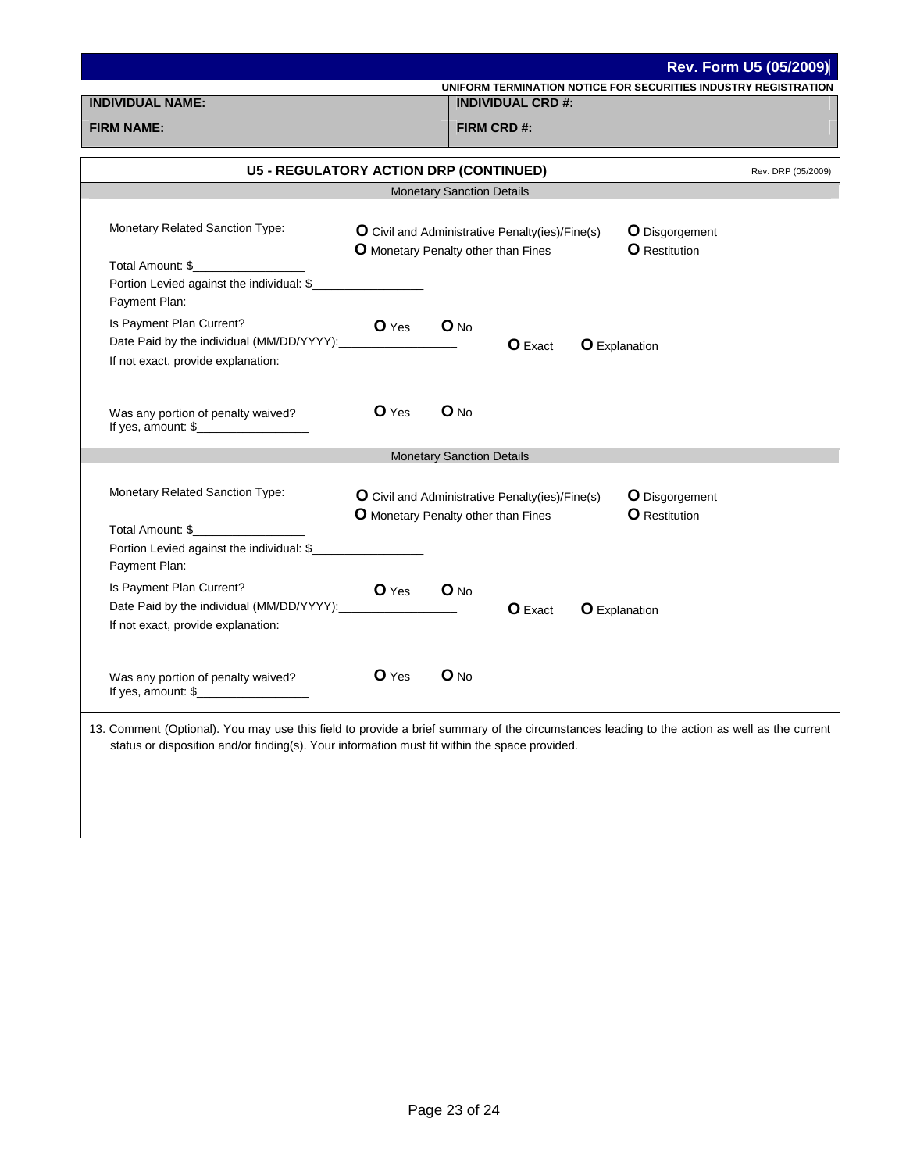|                                                                                                                                                                                                                                              |                                                                                                                |                                  |                                                 |                |                                                                 | Rev. Form U5 (05/2009) |
|----------------------------------------------------------------------------------------------------------------------------------------------------------------------------------------------------------------------------------------------|----------------------------------------------------------------------------------------------------------------|----------------------------------|-------------------------------------------------|----------------|-----------------------------------------------------------------|------------------------|
| <b>INDIVIDUAL NAME:</b>                                                                                                                                                                                                                      |                                                                                                                |                                  | <b>INDIVIDUAL CRD #:</b>                        |                | UNIFORM TERMINATION NOTICE FOR SECURITIES INDUSTRY REGISTRATION |                        |
|                                                                                                                                                                                                                                              |                                                                                                                |                                  |                                                 |                |                                                                 |                        |
| <b>FIRM NAME:</b>                                                                                                                                                                                                                            |                                                                                                                |                                  | FIRM CRD#:                                      |                |                                                                 |                        |
| <b>U5 - REGULATORY ACTION DRP (CONTINUED)</b>                                                                                                                                                                                                |                                                                                                                |                                  |                                                 |                |                                                                 | Rev. DRP (05/2009)     |
|                                                                                                                                                                                                                                              |                                                                                                                | <b>Monetary Sanction Details</b> |                                                 |                |                                                                 |                        |
|                                                                                                                                                                                                                                              |                                                                                                                |                                  |                                                 |                |                                                                 |                        |
| <b>Monetary Related Sanction Type:</b>                                                                                                                                                                                                       | O Civil and Administrative Penalty(ies)/Fine(s)<br><b>O</b> Restitution<br>O Monetary Penalty other than Fines |                                  |                                                 | O Disgorgement |                                                                 |                        |
|                                                                                                                                                                                                                                              |                                                                                                                |                                  |                                                 |                |                                                                 |                        |
| Total Amount: \$________________                                                                                                                                                                                                             |                                                                                                                |                                  |                                                 |                |                                                                 |                        |
| Portion Levied against the individual: \$                                                                                                                                                                                                    |                                                                                                                |                                  |                                                 |                |                                                                 |                        |
| Payment Plan:                                                                                                                                                                                                                                |                                                                                                                |                                  |                                                 |                |                                                                 |                        |
| Is Payment Plan Current?                                                                                                                                                                                                                     | O Yes                                                                                                          | $O$ No                           |                                                 |                |                                                                 |                        |
| Date Paid by the individual (MM/DD/YYYY):<br>If not exact, provide explanation:                                                                                                                                                              |                                                                                                                |                                  | $O$ Exact                                       |                | <b>O</b> Explanation                                            |                        |
|                                                                                                                                                                                                                                              |                                                                                                                |                                  |                                                 |                |                                                                 |                        |
|                                                                                                                                                                                                                                              |                                                                                                                |                                  |                                                 |                |                                                                 |                        |
| Was any portion of penalty waived?                                                                                                                                                                                                           | $O$ Yes                                                                                                        | $O$ No                           |                                                 |                |                                                                 |                        |
| If yes, amount: $\frac{1}{2}$                                                                                                                                                                                                                |                                                                                                                |                                  |                                                 |                |                                                                 |                        |
|                                                                                                                                                                                                                                              |                                                                                                                | <b>Monetary Sanction Details</b> |                                                 |                |                                                                 |                        |
|                                                                                                                                                                                                                                              |                                                                                                                |                                  |                                                 |                |                                                                 |                        |
| Monetary Related Sanction Type:                                                                                                                                                                                                              |                                                                                                                |                                  | O Civil and Administrative Penalty(ies)/Fine(s) |                | O Disgorgement                                                  |                        |
|                                                                                                                                                                                                                                              |                                                                                                                |                                  | O Monetary Penalty other than Fines             |                | <b>O</b> Restitution                                            |                        |
| Total Amount: \$                                                                                                                                                                                                                             |                                                                                                                |                                  |                                                 |                |                                                                 |                        |
| Portion Levied against the individual: \$<br>Payment Plan:                                                                                                                                                                                   |                                                                                                                |                                  |                                                 |                |                                                                 |                        |
| Is Payment Plan Current?                                                                                                                                                                                                                     |                                                                                                                |                                  |                                                 |                |                                                                 |                        |
| Date Paid by the individual (MM/DD/YYYY):                                                                                                                                                                                                    | O Yes                                                                                                          | O No                             |                                                 |                |                                                                 |                        |
| If not exact, provide explanation:                                                                                                                                                                                                           |                                                                                                                |                                  | $O$ Exact                                       |                | <b>O</b> Explanation                                            |                        |
|                                                                                                                                                                                                                                              |                                                                                                                |                                  |                                                 |                |                                                                 |                        |
|                                                                                                                                                                                                                                              |                                                                                                                |                                  |                                                 |                |                                                                 |                        |
| Was any portion of penalty waived?                                                                                                                                                                                                           | O Yes                                                                                                          | $O$ No                           |                                                 |                |                                                                 |                        |
| If yes, amount: $\frac{1}{2}$ [16]                                                                                                                                                                                                           |                                                                                                                |                                  |                                                 |                |                                                                 |                        |
|                                                                                                                                                                                                                                              |                                                                                                                |                                  |                                                 |                |                                                                 |                        |
| 13. Comment (Optional). You may use this field to provide a brief summary of the circumstances leading to the action as well as the current<br>status or disposition and/or finding(s). Your information must fit within the space provided. |                                                                                                                |                                  |                                                 |                |                                                                 |                        |
|                                                                                                                                                                                                                                              |                                                                                                                |                                  |                                                 |                |                                                                 |                        |
|                                                                                                                                                                                                                                              |                                                                                                                |                                  |                                                 |                |                                                                 |                        |
|                                                                                                                                                                                                                                              |                                                                                                                |                                  |                                                 |                |                                                                 |                        |